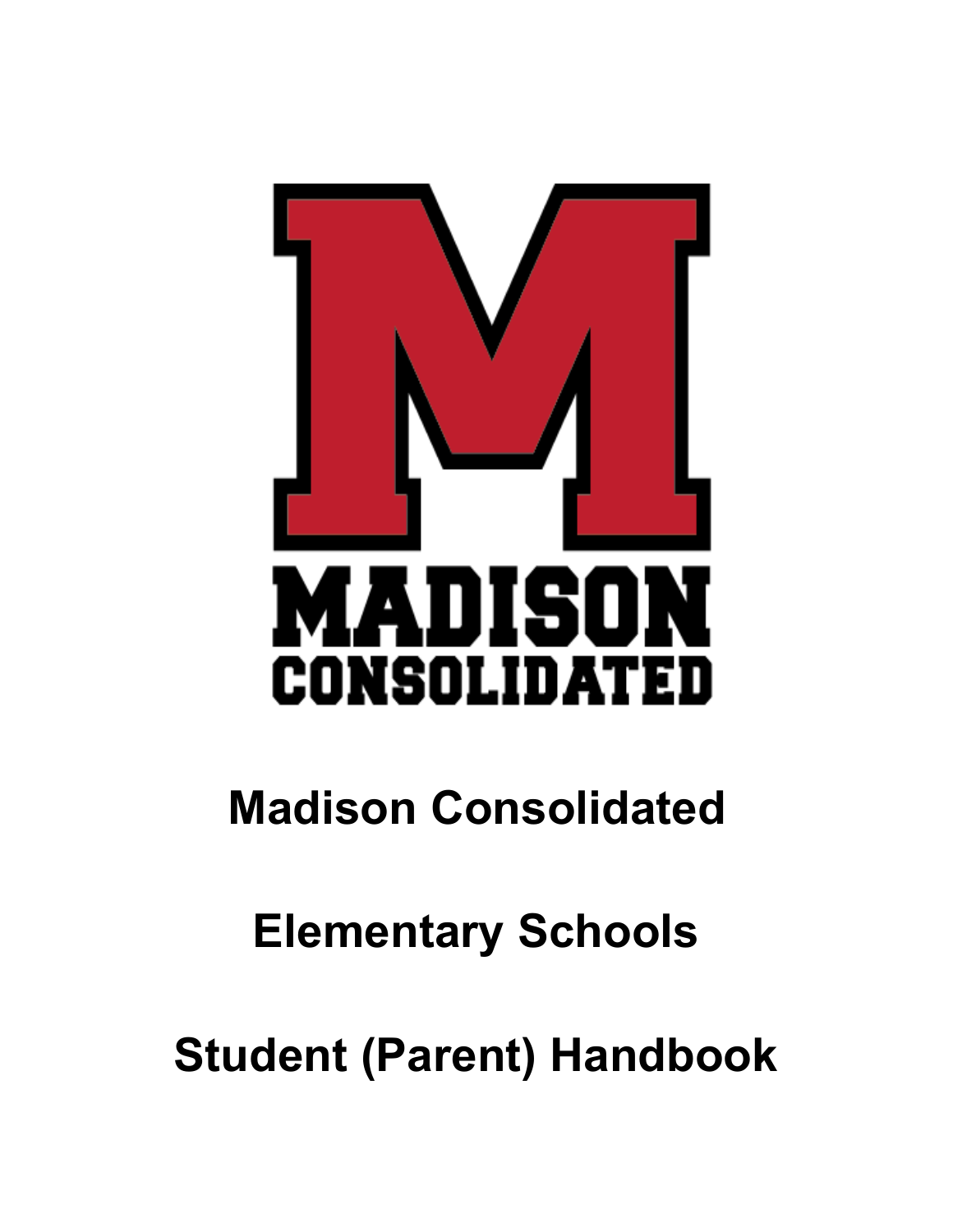

# **Madison Consolidated**

# **Elementary Schools**

**Student (Parent) Handbook**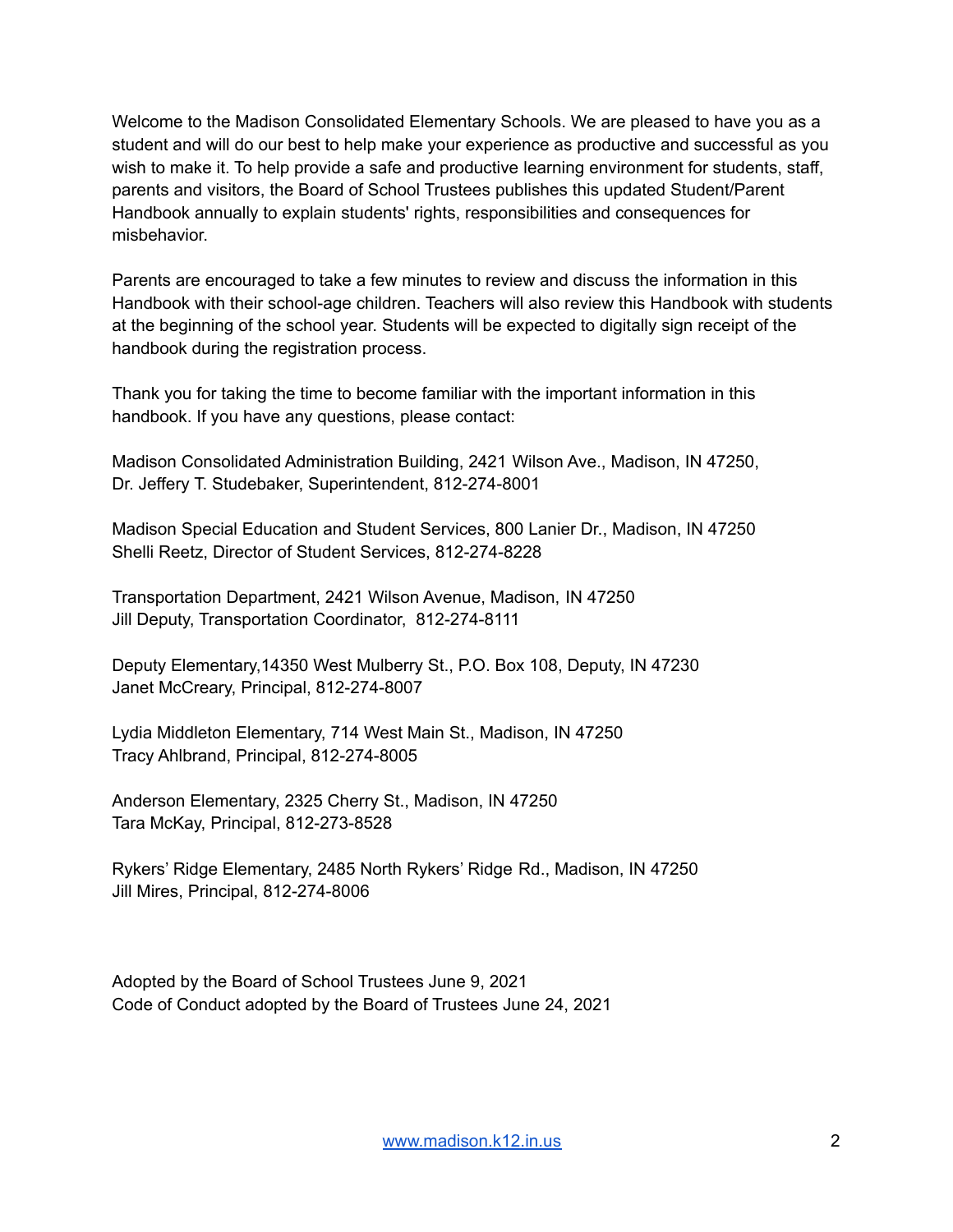Welcome to the Madison Consolidated Elementary Schools. We are pleased to have you as a student and will do our best to help make your experience as productive and successful as you wish to make it. To help provide a safe and productive learning environment for students, staff, parents and visitors, the Board of School Trustees publishes this updated Student/Parent Handbook annually to explain students' rights, responsibilities and consequences for misbehavior.

Parents are encouraged to take a few minutes to review and discuss the information in this Handbook with their school-age children. Teachers will also review this Handbook with students at the beginning of the school year. Students will be expected to digitally sign receipt of the handbook during the registration process.

Thank you for taking the time to become familiar with the important information in this handbook. If you have any questions, please contact:

Madison Consolidated Administration Building, 2421 Wilson Ave., Madison, IN 47250, Dr. Jeffery T. Studebaker, Superintendent, 812-274-8001

Madison Special Education and Student Services, 800 Lanier Dr., Madison, IN 47250 Shelli Reetz, Director of Student Services, 812-274-8228

Transportation Department, 2421 Wilson Avenue, Madison, IN 47250 Jill Deputy, Transportation Coordinator, 812-274-8111

Deputy Elementary,14350 West Mulberry St., P.O. Box 108, Deputy, IN 47230 Janet McCreary, Principal, 812-274-8007

Lydia Middleton Elementary, 714 West Main St., Madison, IN 47250 Tracy Ahlbrand, Principal, 812-274-8005

Anderson Elementary, 2325 Cherry St., Madison, IN 47250 Tara McKay, Principal, 812-273-8528

Rykers' Ridge Elementary, 2485 North Rykers' Ridge Rd., Madison, IN 47250 Jill Mires, Principal, 812-274-8006

Adopted by the Board of School Trustees June 9, 2021 Code of Conduct adopted by the Board of Trustees June 24, 2021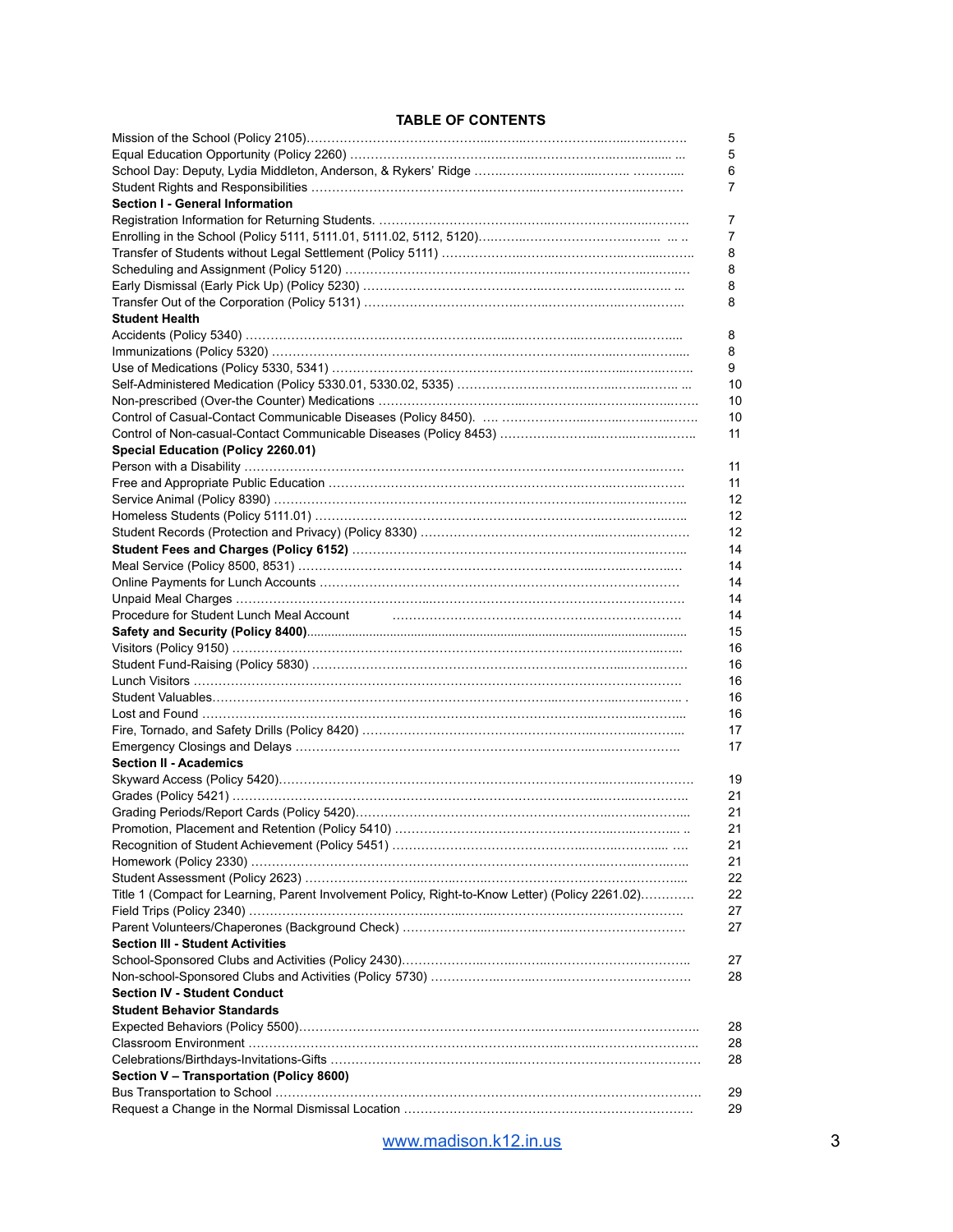#### **TABLE OF CONTENTS**

|                                                                                                  | 5  |
|--------------------------------------------------------------------------------------------------|----|
|                                                                                                  | 5  |
|                                                                                                  | 6  |
|                                                                                                  | 7  |
| Section I - General Information                                                                  |    |
|                                                                                                  | 7  |
|                                                                                                  | 7  |
|                                                                                                  | 8  |
|                                                                                                  | 8  |
|                                                                                                  | 8  |
|                                                                                                  | 8  |
| <b>Student Health</b>                                                                            |    |
|                                                                                                  | 8  |
|                                                                                                  | 8  |
|                                                                                                  | 9  |
|                                                                                                  | 10 |
|                                                                                                  | 10 |
|                                                                                                  | 10 |
|                                                                                                  | 11 |
| Special Education (Policy 2260.01)                                                               |    |
|                                                                                                  | 11 |
|                                                                                                  | 11 |
|                                                                                                  | 12 |
|                                                                                                  |    |
|                                                                                                  | 12 |
|                                                                                                  | 12 |
|                                                                                                  | 14 |
|                                                                                                  | 14 |
|                                                                                                  | 14 |
|                                                                                                  | 14 |
| Procedure for Student Lunch Meal Account                                                         | 14 |
|                                                                                                  | 15 |
|                                                                                                  | 16 |
|                                                                                                  | 16 |
|                                                                                                  | 16 |
|                                                                                                  | 16 |
|                                                                                                  | 16 |
|                                                                                                  | 17 |
|                                                                                                  | 17 |
| <b>Section II - Academics</b>                                                                    |    |
|                                                                                                  | 19 |
|                                                                                                  | 21 |
|                                                                                                  | 21 |
|                                                                                                  | 21 |
|                                                                                                  | 21 |
|                                                                                                  | 21 |
|                                                                                                  | 22 |
| Title 1 (Compact for Learning, Parent Involvement Policy, Right-to-Know Letter) (Policy 2261.02) | 22 |
|                                                                                                  | 27 |
|                                                                                                  | 27 |
| <b>Section III - Student Activities</b>                                                          |    |
|                                                                                                  | 27 |
|                                                                                                  | 28 |
| <b>Section IV - Student Conduct</b>                                                              |    |
| <b>Student Behavior Standards</b>                                                                |    |
|                                                                                                  | 28 |
|                                                                                                  | 28 |
|                                                                                                  | 28 |
| Section V - Transportation (Policy 8600)                                                         |    |
|                                                                                                  | 29 |
|                                                                                                  | 29 |
|                                                                                                  |    |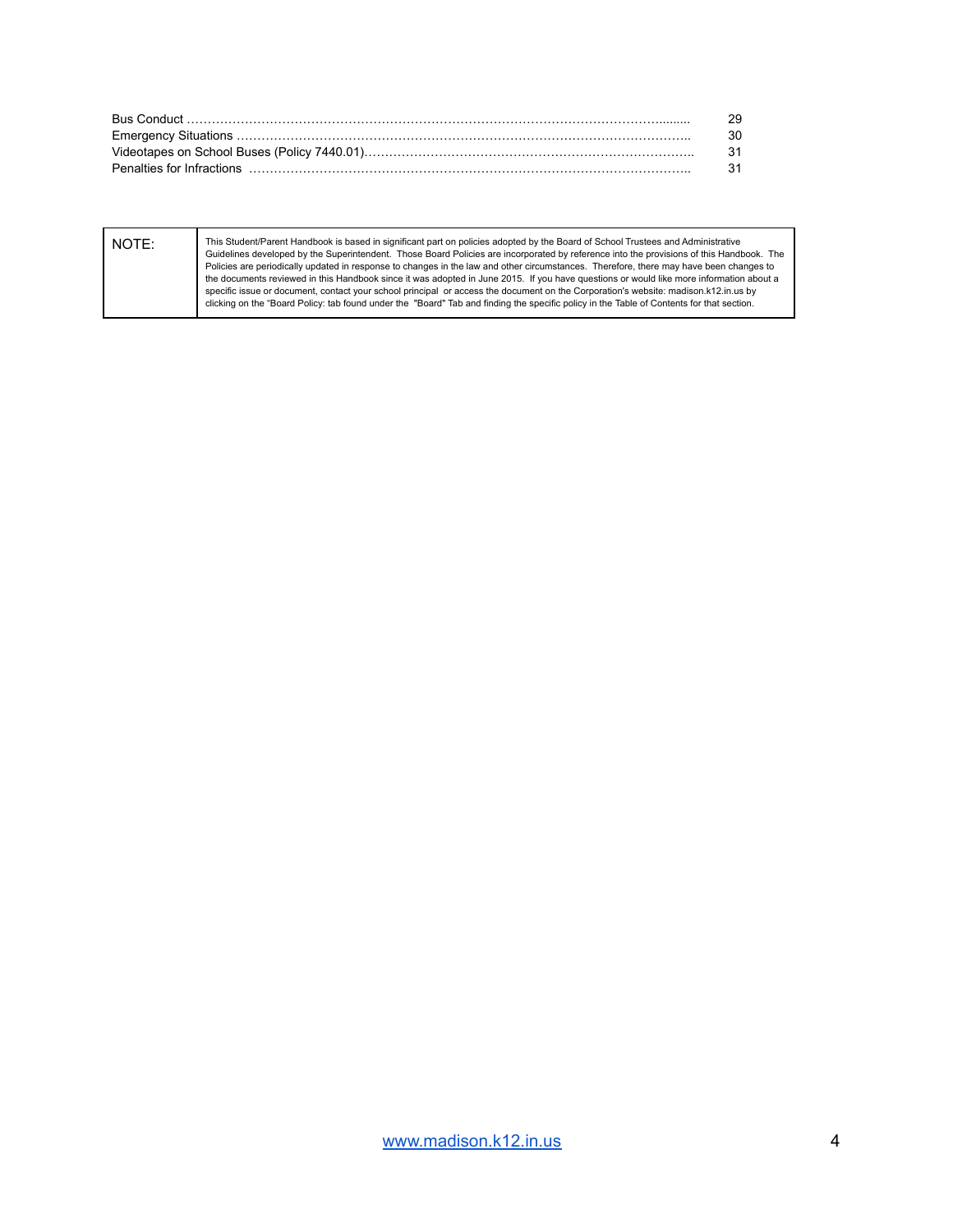| 29. |
|-----|
| 30  |
|     |
|     |

| NOTE: | This Student/Parent Handbook is based in significant part on policies adopted by the Board of School Trustees and Administrative<br>Guidelines developed by the Superintendent. Those Board Policies are incorporated by reference into the provisions of this Handbook. The<br>Policies are periodically updated in response to changes in the law and other circumstances. Therefore, there may have been changes to<br>the documents reviewed in this Handbook since it was adopted in June 2015. If you have questions or would like more information about a<br>specific issue or document, contact your school principal or access the document on the Corporation's website: madison.k12.in.us by<br>clicking on the "Board Policy: tab found under the "Board" Tab and finding the specific policy in the Table of Contents for that section. |
|-------|-------------------------------------------------------------------------------------------------------------------------------------------------------------------------------------------------------------------------------------------------------------------------------------------------------------------------------------------------------------------------------------------------------------------------------------------------------------------------------------------------------------------------------------------------------------------------------------------------------------------------------------------------------------------------------------------------------------------------------------------------------------------------------------------------------------------------------------------------------|
|-------|-------------------------------------------------------------------------------------------------------------------------------------------------------------------------------------------------------------------------------------------------------------------------------------------------------------------------------------------------------------------------------------------------------------------------------------------------------------------------------------------------------------------------------------------------------------------------------------------------------------------------------------------------------------------------------------------------------------------------------------------------------------------------------------------------------------------------------------------------------|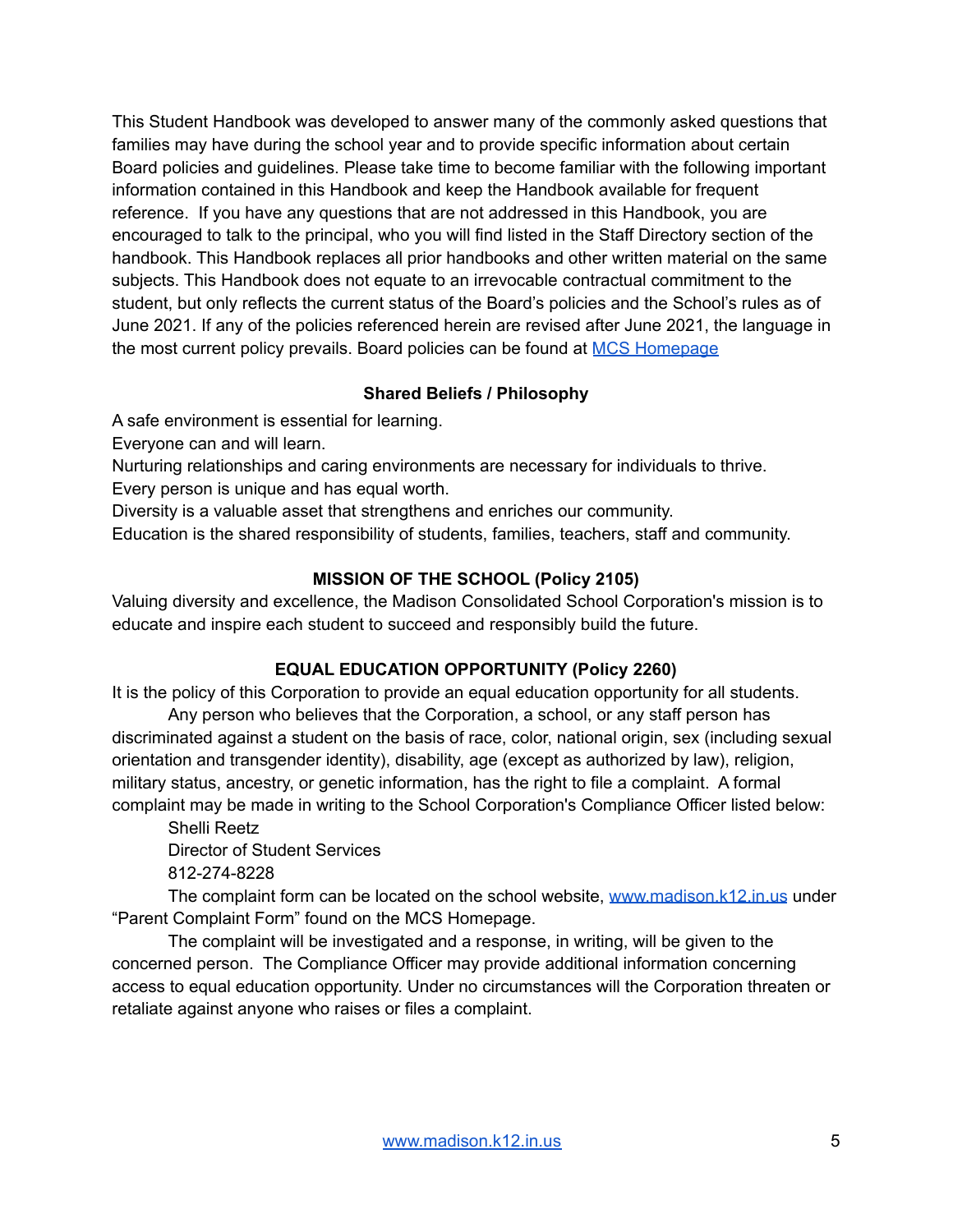This Student Handbook was developed to answer many of the commonly asked questions that families may have during the school year and to provide specific information about certain Board policies and guidelines. Please take time to become familiar with the following important information contained in this Handbook and keep the Handbook available for frequent reference. If you have any questions that are not addressed in this Handbook, you are encouraged to talk to the principal, who you will find listed in the Staff Directory section of the handbook. This Handbook replaces all prior handbooks and other written material on the same subjects. This Handbook does not equate to an irrevocable contractual commitment to the student, but only reflects the current status of the Board's policies and the School's rules as of June 2021. If any of the policies referenced herein are revised after June 2021, the language in the most current policy prevails. Board policies can be found at MCS [Homepage](http://www.madison.k12.in.us)

## **Shared Beliefs / Philosophy**

A safe environment is essential for learning.

Everyone can and will learn.

Nurturing relationships and caring environments are necessary for individuals to thrive. Every person is unique and has equal worth.

Diversity is a valuable asset that strengthens and enriches our community.

Education is the shared responsibility of students, families, teachers, staff and community.

## **MISSION OF THE SCHOOL (Policy 2105)**

Valuing diversity and excellence, the Madison Consolidated School Corporation's mission is to educate and inspire each student to succeed and responsibly build the future.

## **EQUAL EDUCATION OPPORTUNITY (Policy 2260)**

It is the policy of this Corporation to provide an equal education opportunity for all students.

Any person who believes that the Corporation, a school, or any staff person has discriminated against a student on the basis of race, color, national origin, sex (including sexual orientation and transgender identity), disability, age (except as authorized by law), religion, military status, ancestry, or genetic information, has the right to file a complaint. A formal complaint may be made in writing to the School Corporation's Compliance Officer listed below:

Shelli Reetz

Director of Student Services

812-274-8228

The complaint form can be located on the school website, [www.madison.k12.in.us](http://www.madison.k12.in.us) under "Parent Complaint Form" found on the MCS Homepage.

The complaint will be investigated and a response, in writing, will be given to the concerned person. The Compliance Officer may provide additional information concerning access to equal education opportunity. Under no circumstances will the Corporation threaten or retaliate against anyone who raises or files a complaint.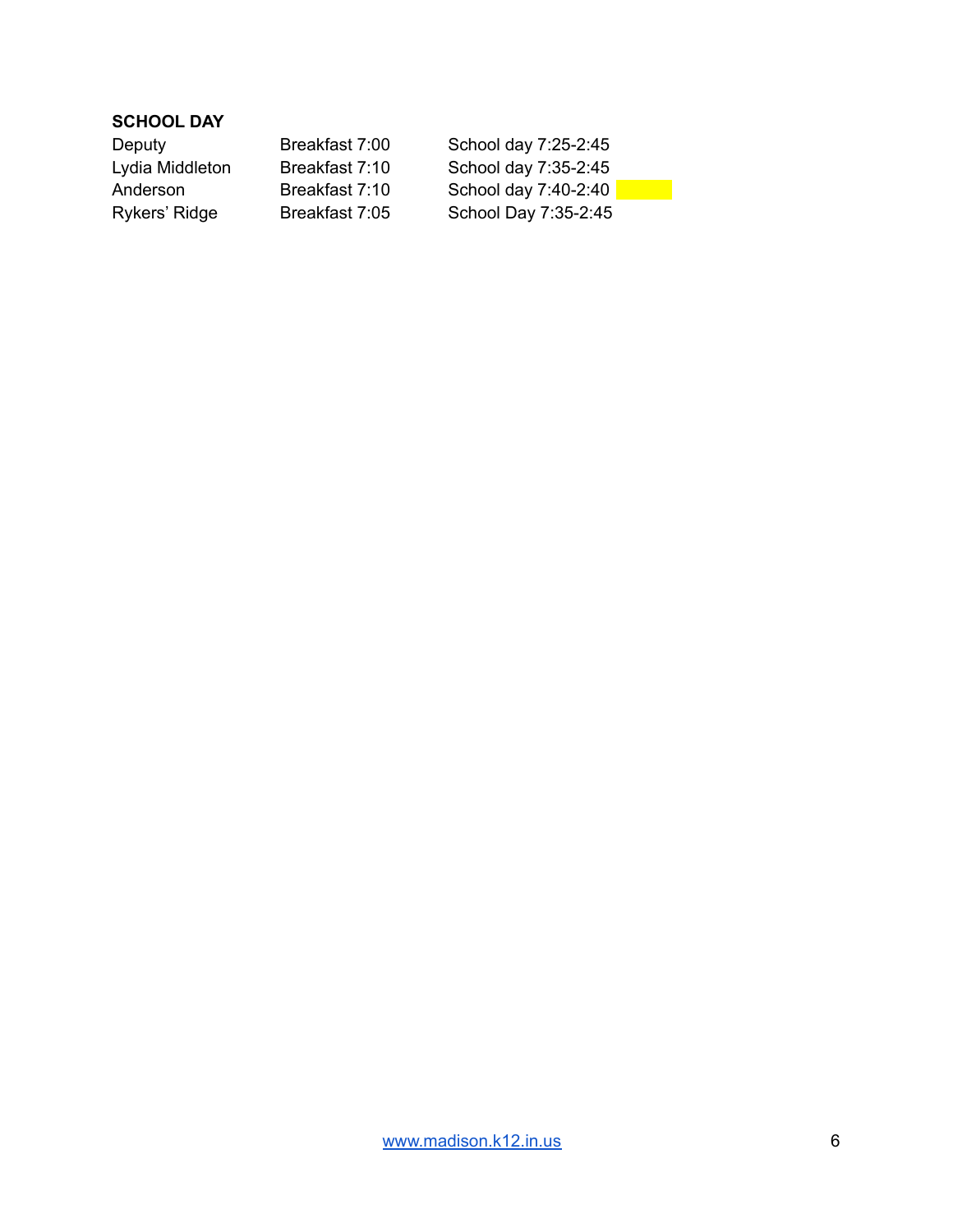## **SCHOOL DAY**

| Deputy          | Breakfast 7:00 | School day 7:25-2:45 |
|-----------------|----------------|----------------------|
| Lydia Middleton | Breakfast 7:10 | School day 7:35-2:45 |
| Anderson        | Breakfast 7:10 | School day 7:40-2:40 |
| Rykers' Ridge   | Breakfast 7:05 | School Day 7:35-2:45 |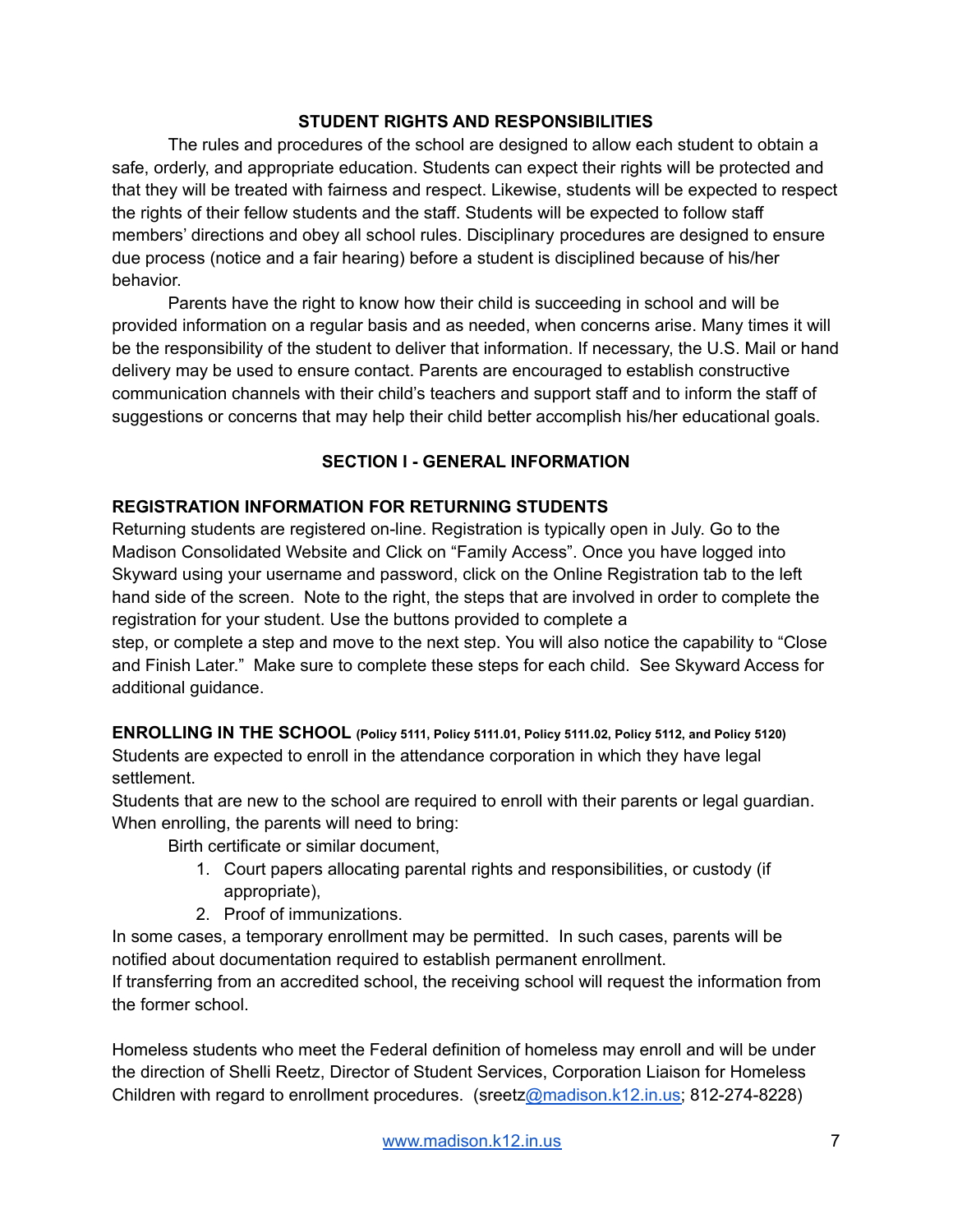## **STUDENT RIGHTS AND RESPONSIBILITIES**

The rules and procedures of the school are designed to allow each student to obtain a safe, orderly, and appropriate education. Students can expect their rights will be protected and that they will be treated with fairness and respect. Likewise, students will be expected to respect the rights of their fellow students and the staff. Students will be expected to follow staff members' directions and obey all school rules. Disciplinary procedures are designed to ensure due process (notice and a fair hearing) before a student is disciplined because of his/her behavior.

Parents have the right to know how their child is succeeding in school and will be provided information on a regular basis and as needed, when concerns arise. Many times it will be the responsibility of the student to deliver that information. If necessary, the U.S. Mail or hand delivery may be used to ensure contact. Parents are encouraged to establish constructive communication channels with their child's teachers and support staff and to inform the staff of suggestions or concerns that may help their child better accomplish his/her educational goals.

## **SECTION I - GENERAL INFORMATION**

### **REGISTRATION INFORMATION FOR RETURNING STUDENTS**

Returning students are registered on-line. Registration is typically open in July. Go to the Madison Consolidated Website and Click on "Family Access". Once you have logged into Skyward using your username and password, click on the Online Registration tab to the left hand side of the screen. Note to the right, the steps that are involved in order to complete the registration for your student. Use the buttons provided to complete a

step, or complete a step and move to the next step. You will also notice the capability to "Close and Finish Later." Make sure to complete these steps for each child. See Skyward Access for additional guidance.

**ENROLLING IN THE SCHOOL (Policy 5111, Policy 5111.01, Policy 5111.02, Policy 5112, and Policy 5120)** Students are expected to enroll in the attendance corporation in which they have legal settlement.

Students that are new to the school are required to enroll with their parents or legal guardian. When enrolling, the parents will need to bring:

Birth certificate or similar document,

- 1. Court papers allocating parental rights and responsibilities, or custody (if appropriate),
- 2. Proof of immunizations.

In some cases, a temporary enrollment may be permitted. In such cases, parents will be notified about documentation required to establish permanent enrollment.

If transferring from an accredited school, the receiving school will request the information from the former school.

Homeless students who meet the Federal definition of homeless may enroll and will be under the direction of Shelli Reetz, Director of Student Services, Corporation Liaison for Homeless Children with regard to enrollment procedures. (sreetz[@madison.k12.in.us;](mailto:avaughn@madison.k12.in.us) 812-274-8228)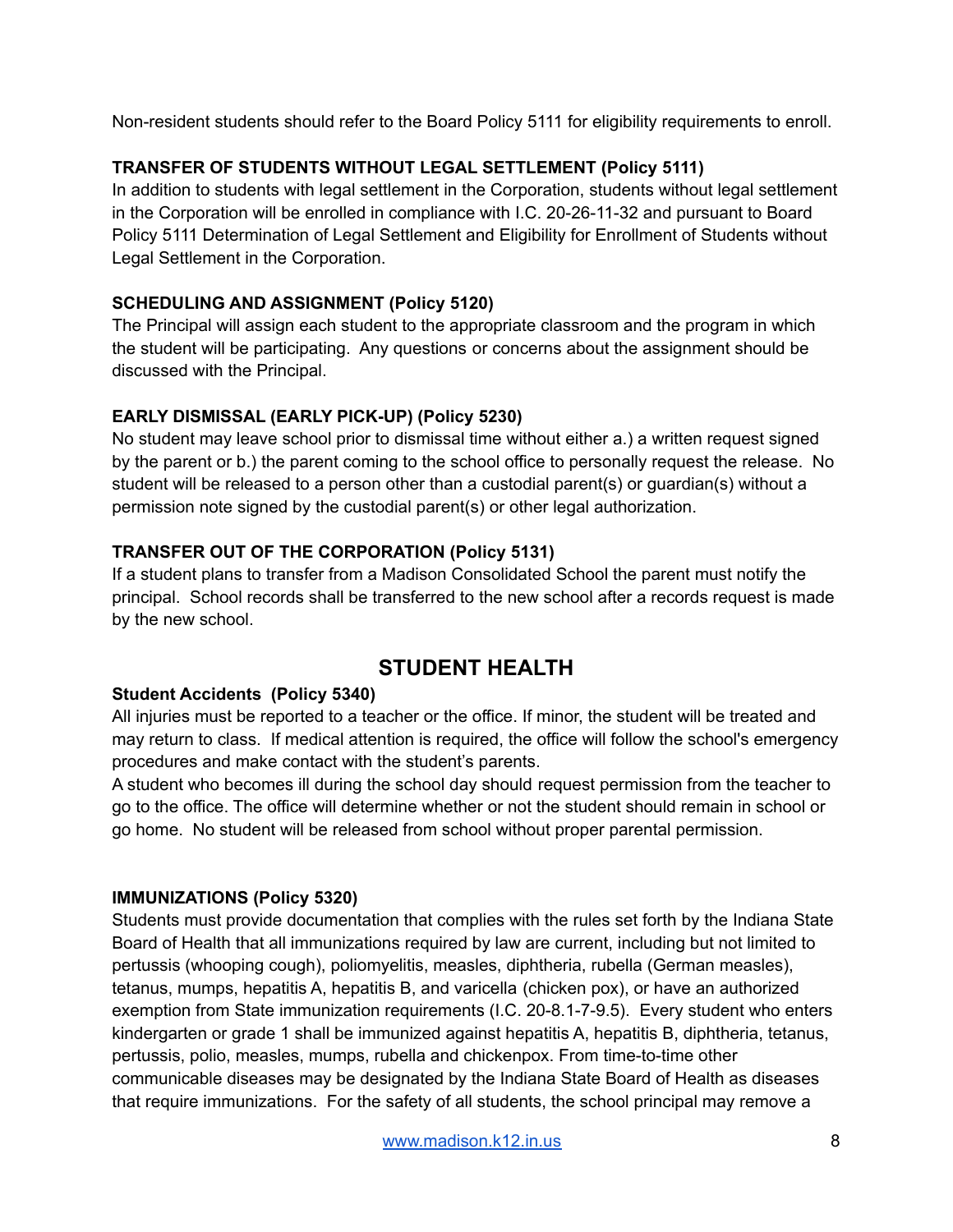Non-resident students should refer to the Board Policy 5111 for eligibility requirements to enroll.

## **TRANSFER OF STUDENTS WITHOUT LEGAL SETTLEMENT (Policy 5111)**

In addition to students with legal settlement in the Corporation, students without legal settlement in the Corporation will be enrolled in compliance with I.C. 20-26-11-32 and pursuant to Board Policy 5111 Determination of Legal Settlement and Eligibility for Enrollment of Students without Legal Settlement in the Corporation.

## **SCHEDULING AND ASSIGNMENT (Policy 5120)**

The Principal will assign each student to the appropriate classroom and the program in which the student will be participating. Any questions or concerns about the assignment should be discussed with the Principal.

## **EARLY DISMISSAL (EARLY PICK-UP) (Policy 5230)**

No student may leave school prior to dismissal time without either a.) a written request signed by the parent or b.) the parent coming to the school office to personally request the release. No student will be released to a person other than a custodial parent(s) or guardian(s) without a permission note signed by the custodial parent(s) or other legal authorization.

## **TRANSFER OUT OF THE CORPORATION (Policy 5131)**

If a student plans to transfer from a Madison Consolidated School the parent must notify the principal. School records shall be transferred to the new school after a records request is made by the new school.

## **STUDENT HEALTH**

## **Student Accidents (Policy 5340)**

All injuries must be reported to a teacher or the office. If minor, the student will be treated and may return to class. If medical attention is required, the office will follow the school's emergency procedures and make contact with the student's parents.

A student who becomes ill during the school day should request permission from the teacher to go to the office. The office will determine whether or not the student should remain in school or go home. No student will be released from school without proper parental permission.

## **IMMUNIZATIONS (Policy 5320)**

Students must provide documentation that complies with the rules set forth by the Indiana State Board of Health that all immunizations required by law are current, including but not limited to pertussis (whooping cough), poliomyelitis, measles, diphtheria, rubella (German measles), tetanus, mumps, hepatitis A, hepatitis B, and varicella (chicken pox), or have an authorized exemption from State immunization requirements (I.C. 20-8.1-7-9.5). Every student who enters kindergarten or grade 1 shall be immunized against hepatitis A, hepatitis B, diphtheria, tetanus, pertussis, polio, measles, mumps, rubella and chickenpox. From time-to-time other communicable diseases may be designated by the Indiana State Board of Health as diseases that require immunizations. For the safety of all students, the school principal may remove a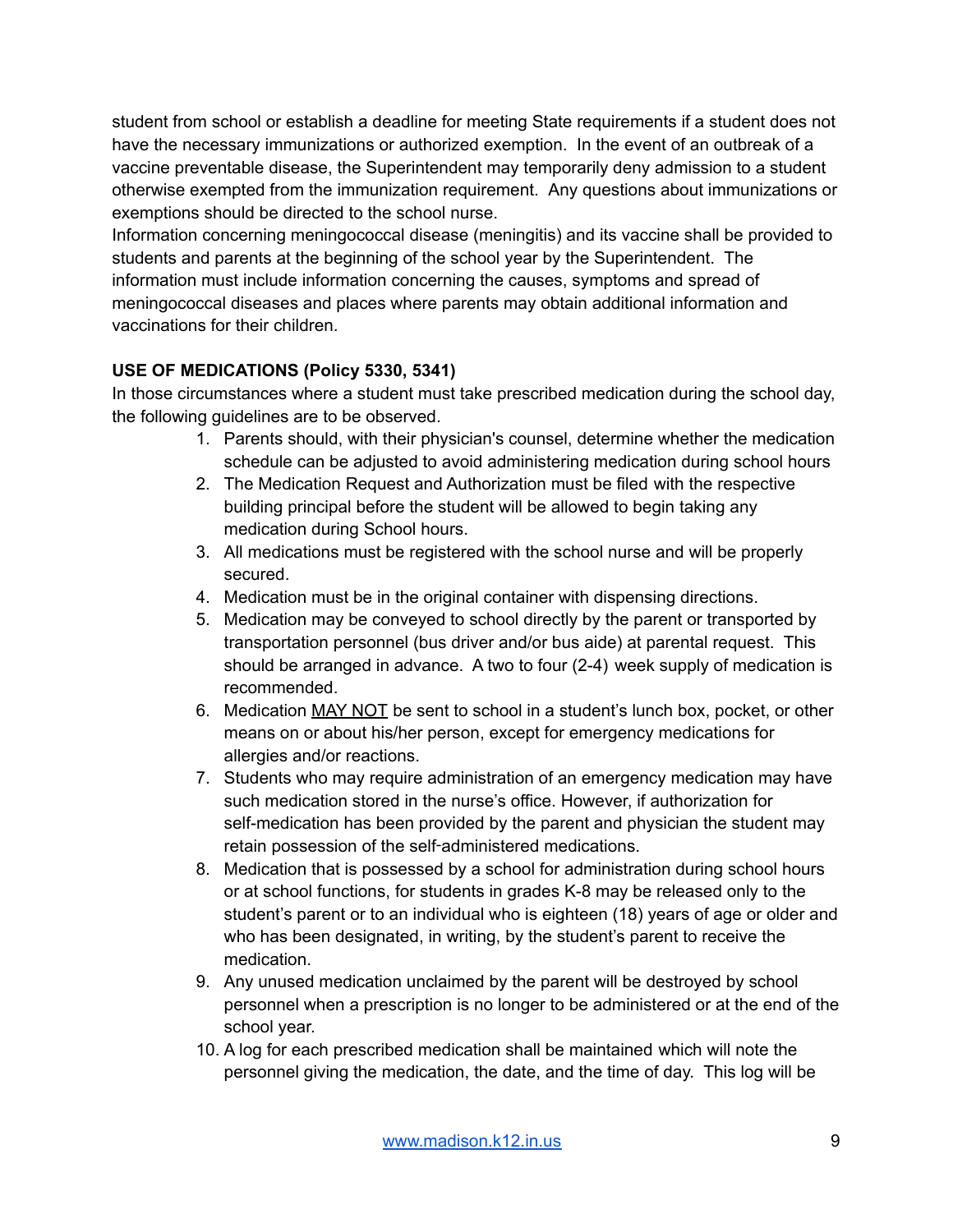student from school or establish a deadline for meeting State requirements if a student does not have the necessary immunizations or authorized exemption. In the event of an outbreak of a vaccine preventable disease, the Superintendent may temporarily deny admission to a student otherwise exempted from the immunization requirement. Any questions about immunizations or exemptions should be directed to the school nurse.

Information concerning meningococcal disease (meningitis) and its vaccine shall be provided to students and parents at the beginning of the school year by the Superintendent. The information must include information concerning the causes, symptoms and spread of meningococcal diseases and places where parents may obtain additional information and vaccinations for their children.

## **USE OF MEDICATIONS (Policy 5330, 5341)**

In those circumstances where a student must take prescribed medication during the school day, the following guidelines are to be observed.

- 1. Parents should, with their physician's counsel, determine whether the medication schedule can be adjusted to avoid administering medication during school hours
- 2. The Medication Request and Authorization must be filed with the respective building principal before the student will be allowed to begin taking any medication during School hours.
- 3. All medications must be registered with the school nurse and will be properly secured.
- 4. Medication must be in the original container with dispensing directions.
- 5. Medication may be conveyed to school directly by the parent or transported by transportation personnel (bus driver and/or bus aide) at parental request. This should be arranged in advance. A two to four (2-4) week supply of medication is recommended.
- 6. Medication MAY NOT be sent to school in a student's lunch box, pocket, or other means on or about his/her person, except for emergency medications for allergies and/or reactions.
- 7. Students who may require administration of an emergency medication may have such medication stored in the nurse's office. However, if authorization for self-medication has been provided by the parent and physician the student may retain possession of the self‑administered medications.
- 8. Medication that is possessed by a school for administration during school hours or at school functions, for students in grades K-8 may be released only to the student's parent or to an individual who is eighteen (18) years of age or older and who has been designated, in writing, by the student's parent to receive the medication.
- 9. Any unused medication unclaimed by the parent will be destroyed by school personnel when a prescription is no longer to be administered or at the end of the school year.
- 10. A log for each prescribed medication shall be maintained which will note the personnel giving the medication, the date, and the time of day. This log will be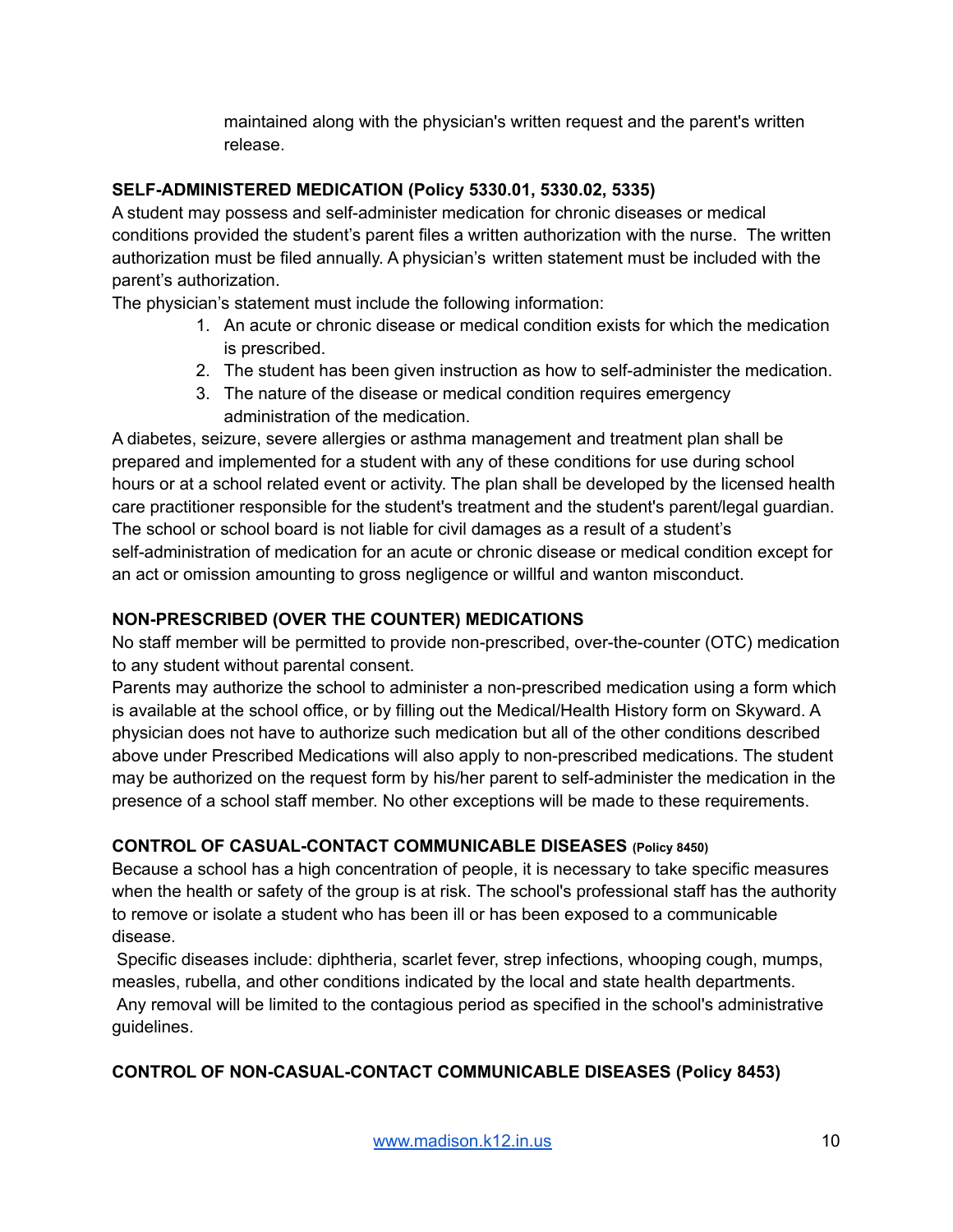maintained along with the physician's written request and the parent's written release.

## **SELF-ADMINISTERED MEDICATION (Policy 5330.01, 5330.02, 5335)**

A student may possess and self-administer medication for chronic diseases or medical conditions provided the student's parent files a written authorization with the nurse. The written authorization must be filed annually. A physician's written statement must be included with the parent's authorization.

The physician's statement must include the following information:

- 1. An acute or chronic disease or medical condition exists for which the medication is prescribed.
- 2. The student has been given instruction as how to self-administer the medication.
- 3. The nature of the disease or medical condition requires emergency administration of the medication.

A diabetes, seizure, severe allergies or asthma management and treatment plan shall be prepared and implemented for a student with any of these conditions for use during school hours or at a school related event or activity. The plan shall be developed by the licensed health care practitioner responsible for the student's treatment and the student's parent/legal guardian. The school or school board is not liable for civil damages as a result of a student's self-administration of medication for an acute or chronic disease or medical condition except for an act or omission amounting to gross negligence or willful and wanton misconduct.

## **NON-PRESCRIBED (OVER THE COUNTER) MEDICATIONS**

No staff member will be permitted to provide non-prescribed, over-the-counter (OTC) medication to any student without parental consent.

Parents may authorize the school to administer a non-prescribed medication using a form which is available at the school office, or by filling out the Medical/Health History form on Skyward. A physician does not have to authorize such medication but all of the other conditions described above under Prescribed Medications will also apply to non-prescribed medications. The student may be authorized on the request form by his/her parent to self-administer the medication in the presence of a school staff member. No other exceptions will be made to these requirements.

## **CONTROL OF CASUAL-CONTACT COMMUNICABLE DISEASES (Policy 8450)**

Because a school has a high concentration of people, it is necessary to take specific measures when the health or safety of the group is at risk. The school's professional staff has the authority to remove or isolate a student who has been ill or has been exposed to a communicable disease.

Specific diseases include: diphtheria, scarlet fever, strep infections, whooping cough, mumps, measles, rubella, and other conditions indicated by the local and state health departments. Any removal will be limited to the contagious period as specified in the school's administrative guidelines.

## **CONTROL OF NON-CASUAL-CONTACT COMMUNICABLE DISEASES (Policy 8453)**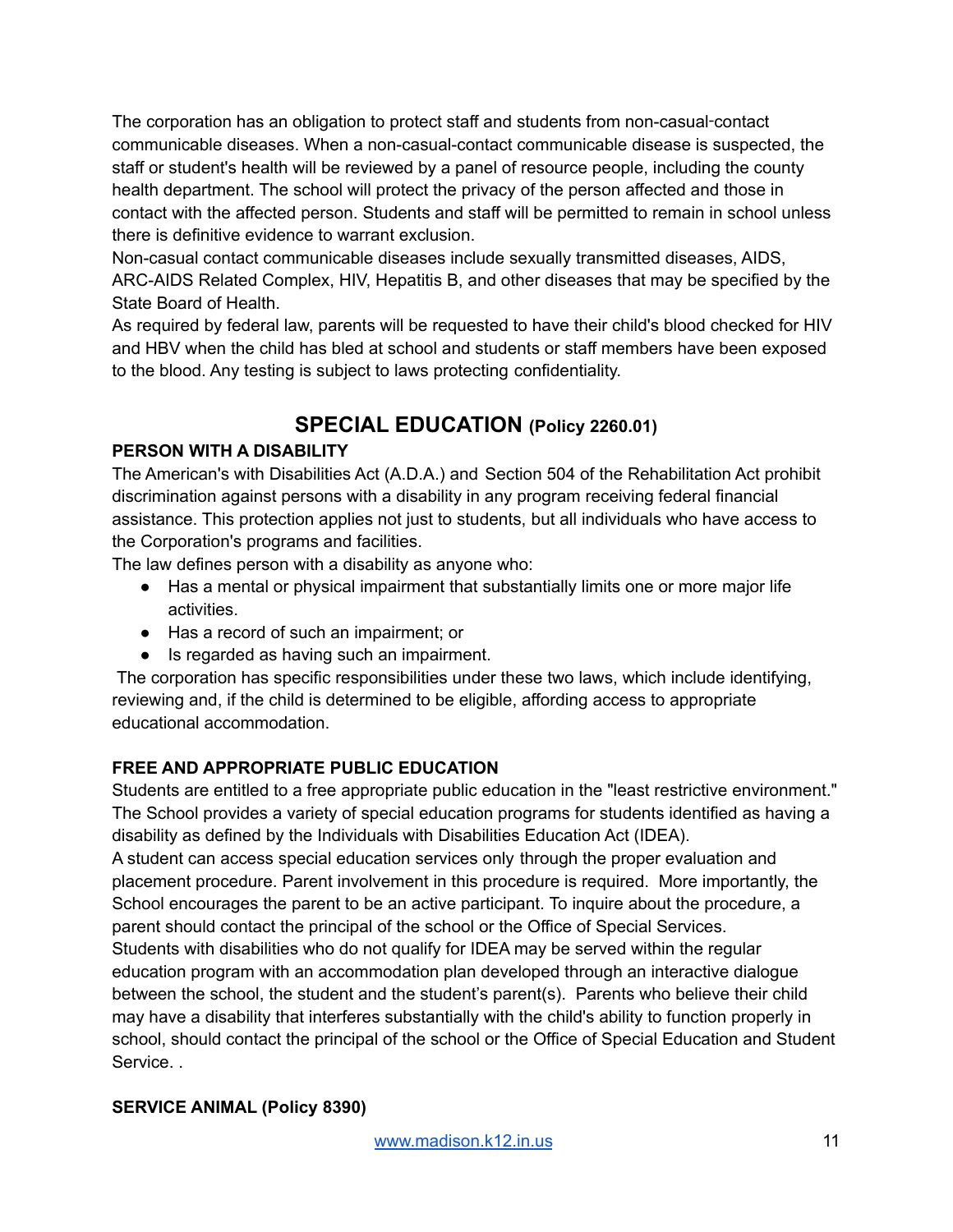The corporation has an obligation to protect staff and students from non-casual‑contact communicable diseases. When a non-casual-contact communicable disease is suspected, the staff or student's health will be reviewed by a panel of resource people, including the county health department. The school will protect the privacy of the person affected and those in contact with the affected person. Students and staff will be permitted to remain in school unless there is definitive evidence to warrant exclusion.

Non-casual contact communicable diseases include sexually transmitted diseases, AIDS, ARC-AIDS Related Complex, HIV, Hepatitis B, and other diseases that may be specified by the State Board of Health.

As required by federal law, parents will be requested to have their child's blood checked for HIV and HBV when the child has bled at school and students or staff members have been exposed to the blood. Any testing is subject to laws protecting confidentiality.

## **SPECIAL EDUCATION (Policy 2260.01)**

## **PERSON WITH A DISABILITY**

The American's with Disabilities Act (A.D.A.) and Section 504 of the Rehabilitation Act prohibit discrimination against persons with a disability in any program receiving federal financial assistance. This protection applies not just to students, but all individuals who have access to the Corporation's programs and facilities.

The law defines person with a disability as anyone who:

- Has a mental or physical impairment that substantially limits one or more major life activities.
- Has a record of such an impairment; or
- Is regarded as having such an impairment.

The corporation has specific responsibilities under these two laws, which include identifying, reviewing and, if the child is determined to be eligible, affording access to appropriate educational accommodation.

## **FREE AND APPROPRIATE PUBLIC EDUCATION**

Students are entitled to a free appropriate public education in the "least restrictive environment." The School provides a variety of special education programs for students identified as having a disability as defined by the Individuals with Disabilities Education Act (IDEA).

A student can access special education services only through the proper evaluation and placement procedure. Parent involvement in this procedure is required. More importantly, the School encourages the parent to be an active participant. To inquire about the procedure, a parent should contact the principal of the school or the Office of Special Services.

Students with disabilities who do not qualify for IDEA may be served within the regular education program with an accommodation plan developed through an interactive dialogue between the school, the student and the student's parent(s). Parents who believe their child may have a disability that interferes substantially with the child's ability to function properly in school, should contact the principal of the school or the Office of Special Education and Student Service. .

## **SERVICE ANIMAL (Policy 8390)**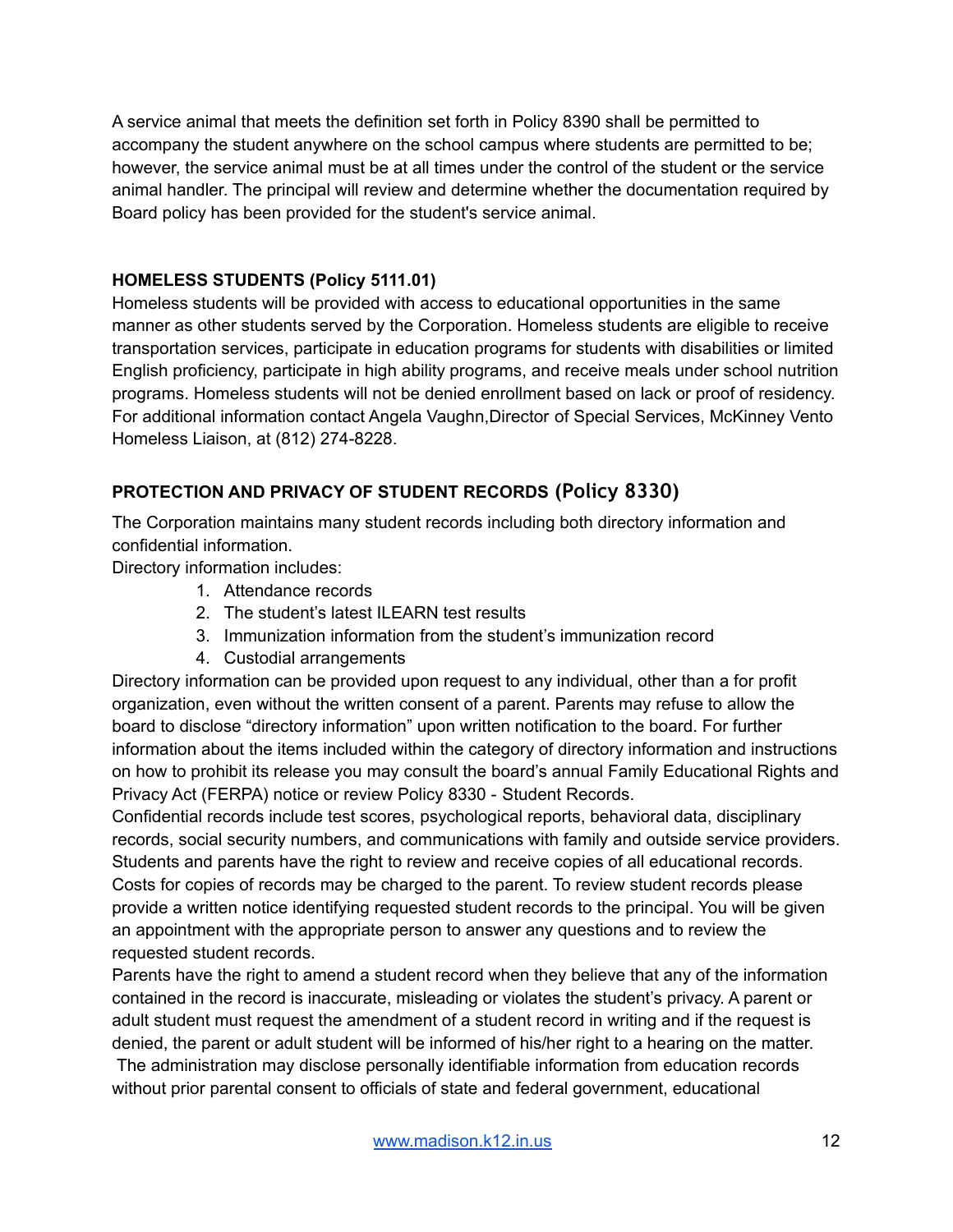A service animal that meets the definition set forth in Policy 8390 shall be permitted to accompany the student anywhere on the school campus where students are permitted to be; however, the service animal must be at all times under the control of the student or the service animal handler. The principal will review and determine whether the documentation required by Board policy has been provided for the student's service animal.

## **HOMELESS STUDENTS (Policy 5111.01)**

Homeless students will be provided with access to educational opportunities in the same manner as other students served by the Corporation. Homeless students are eligible to receive transportation services, participate in education programs for students with disabilities or limited English proficiency, participate in high ability programs, and receive meals under school nutrition programs. Homeless students will not be denied enrollment based on lack or proof of residency. For additional information contact Angela Vaughn,Director of Special Services, McKinney Vento Homeless Liaison, at (812) 274-8228.

## **PROTECTION AND PRIVACY OF STUDENT RECORDS (Policy 8330)**

The Corporation maintains many student records including both directory information and confidential information.

Directory information includes:

- 1. Attendance records
- 2. The student's latest ILEARN test results
- 3. Immunization information from the student's immunization record
- 4. Custodial arrangements

Directory information can be provided upon request to any individual, other than a for profit organization, even without the written consent of a parent. Parents may refuse to allow the board to disclose "directory information" upon written notification to the board. For further information about the items included within the category of directory information and instructions on how to prohibit its release you may consult the board's annual Family Educational Rights and Privacy Act (FERPA) notice or review Policy 8330 - Student Records.

Confidential records include test scores, psychological reports, behavioral data, disciplinary records, social security numbers, and communications with family and outside service providers. Students and parents have the right to review and receive copies of all educational records. Costs for copies of records may be charged to the parent. To review student records please provide a written notice identifying requested student records to the principal. You will be given an appointment with the appropriate person to answer any questions and to review the requested student records.

Parents have the right to amend a student record when they believe that any of the information contained in the record is inaccurate, misleading or violates the student's privacy. A parent or adult student must request the amendment of a student record in writing and if the request is denied, the parent or adult student will be informed of his/her right to a hearing on the matter.

The administration may disclose personally identifiable information from education records without prior parental consent to officials of state and federal government, educational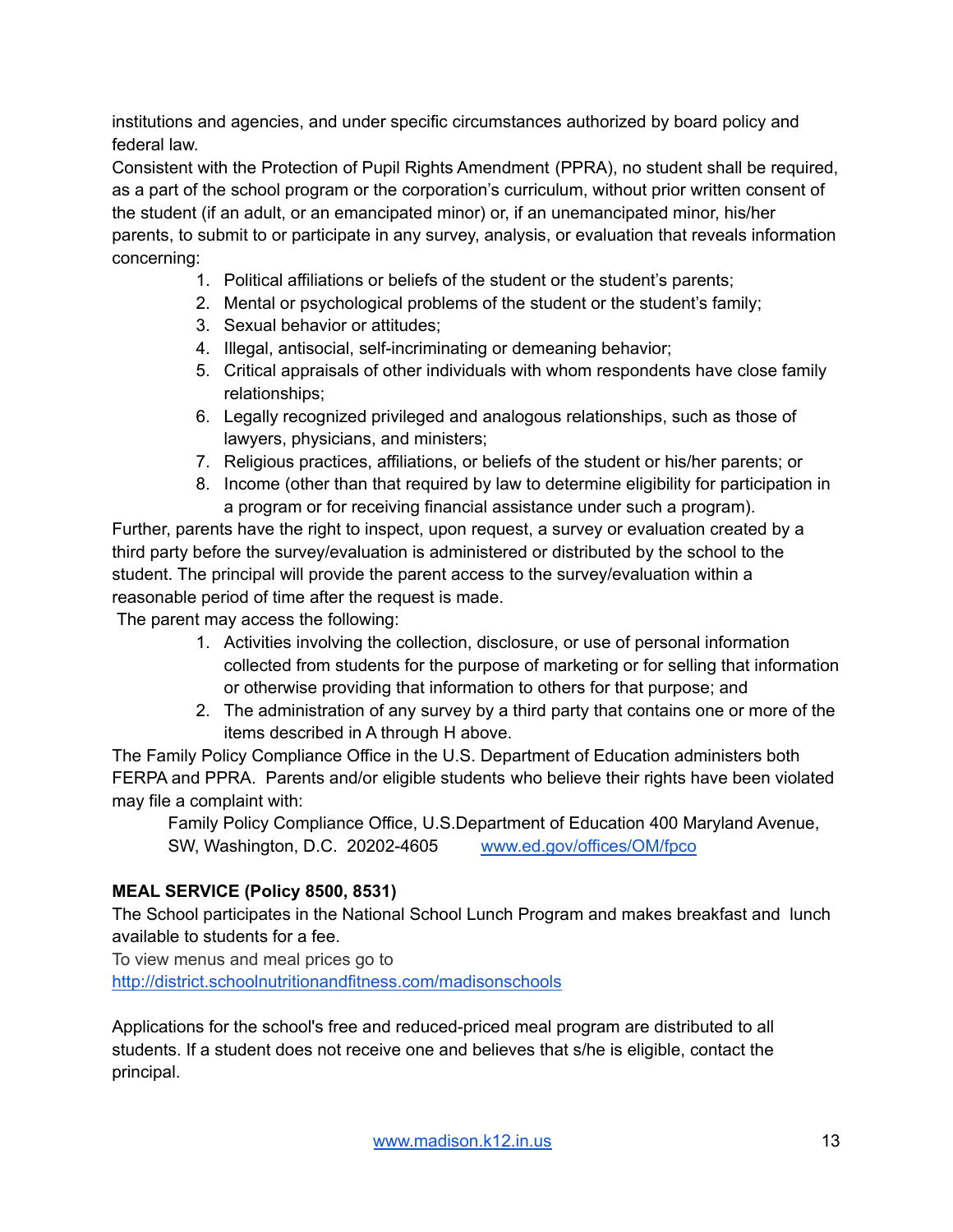institutions and agencies, and under specific circumstances authorized by board policy and federal law.

Consistent with the Protection of Pupil Rights Amendment (PPRA), no student shall be required, as a part of the school program or the corporation's curriculum, without prior written consent of the student (if an adult, or an emancipated minor) or, if an unemancipated minor, his/her parents, to submit to or participate in any survey, analysis, or evaluation that reveals information concerning:

- 1. Political affiliations or beliefs of the student or the student's parents;
- 2. Mental or psychological problems of the student or the student's family;
- 3. Sexual behavior or attitudes;
- 4. Illegal, antisocial, self-incriminating or demeaning behavior;
- 5. Critical appraisals of other individuals with whom respondents have close family relationships;
- 6. Legally recognized privileged and analogous relationships, such as those of lawyers, physicians, and ministers;
- 7. Religious practices, affiliations, or beliefs of the student or his/her parents; or
- 8. Income (other than that required by law to determine eligibility for participation in a program or for receiving financial assistance under such a program).

Further, parents have the right to inspect, upon request, a survey or evaluation created by a third party before the survey/evaluation is administered or distributed by the school to the student. The principal will provide the parent access to the survey/evaluation within a reasonable period of time after the request is made.

The parent may access the following:

- 1. Activities involving the collection, disclosure, or use of personal information collected from students for the purpose of marketing or for selling that information or otherwise providing that information to others for that purpose; and
- 2. The administration of any survey by a third party that contains one or more of the items described in A through H above.

The Family Policy Compliance Office in the U.S. Department of Education administers both FERPA and PPRA. Parents and/or eligible students who believe their rights have been violated may file a complaint with:

Family Policy Compliance Office, U.S.Department of Education 400 Maryland Avenue, SW, Washington, D.C. 20202-4605 [www.ed.gov/offices/OM/fpco](http://www.ed.gov/offices/OM/fpco)

## **MEAL SERVICE (Policy 8500, 8531)**

The School participates in the National School Lunch Program and makes breakfast and lunch available to students for a fee.

To view menus and meal prices go to

<http://district.schoolnutritionandfitness.com/madisonschools>

Applications for the school's free and reduced-priced meal program are distributed to all students. If a student does not receive one and believes that s/he is eligible, contact the principal.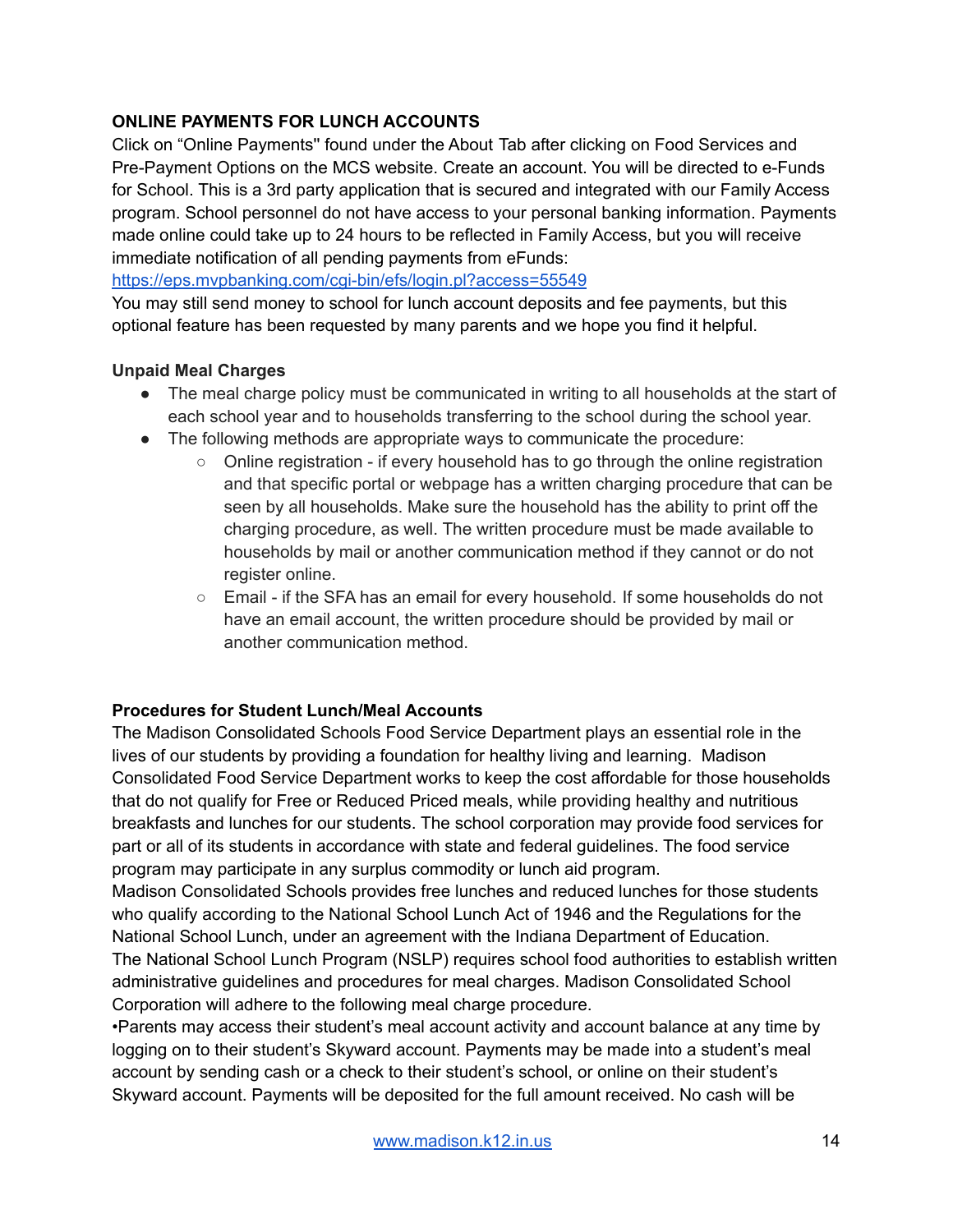## **ONLINE PAYMENTS FOR LUNCH ACCOUNTS**

Click on "Online Payments'' found under the About Tab after clicking on Food Services and Pre-Payment Options on the MCS website. Create an account. You will be directed to e-Funds for School. This is a 3rd party application that is secured and integrated with our Family Access program. School personnel do not have access to your personal banking information. Payments made online could take up to 24 hours to be reflected in Family Access, but you will receive immediate notification of all pending payments from eFunds:

<https://eps.mvpbanking.com/cgi-bin/efs/login.pl?access=55549>

You may still send money to school for lunch account deposits and fee payments, but this optional feature has been requested by many parents and we hope you find it helpful.

## **Unpaid Meal Charges**

- The meal charge policy must be communicated in writing to all households at the start of each school year and to households transferring to the school during the school year.
- The following methods are appropriate ways to communicate the procedure:
	- Online registration if every household has to go through the online registration and that specific portal or webpage has a written charging procedure that can be seen by all households. Make sure the household has the ability to print off the charging procedure, as well. The written procedure must be made available to households by mail or another communication method if they cannot or do not register online.
	- Email if the SFA has an email for every household. If some households do not have an email account, the written procedure should be provided by mail or another communication method.

## **Procedures for Student Lunch/Meal Accounts**

The Madison Consolidated Schools Food Service Department plays an essential role in the lives of our students by providing a foundation for healthy living and learning. Madison Consolidated Food Service Department works to keep the cost affordable for those households that do not qualify for Free or Reduced Priced meals, while providing healthy and nutritious breakfasts and lunches for our students. The school corporation may provide food services for part or all of its students in accordance with state and federal guidelines. The food service program may participate in any surplus commodity or lunch aid program.

Madison Consolidated Schools provides free lunches and reduced lunches for those students who qualify according to the National School Lunch Act of 1946 and the Regulations for the National School Lunch, under an agreement with the Indiana Department of Education. The National School Lunch Program (NSLP) requires school food authorities to establish written administrative guidelines and procedures for meal charges. Madison Consolidated School Corporation will adhere to the following meal charge procedure.

•Parents may access their student's meal account activity and account balance at any time by logging on to their student's Skyward account. Payments may be made into a student's meal account by sending cash or a check to their student's school, or online on their student's Skyward account. Payments will be deposited for the full amount received. No cash will be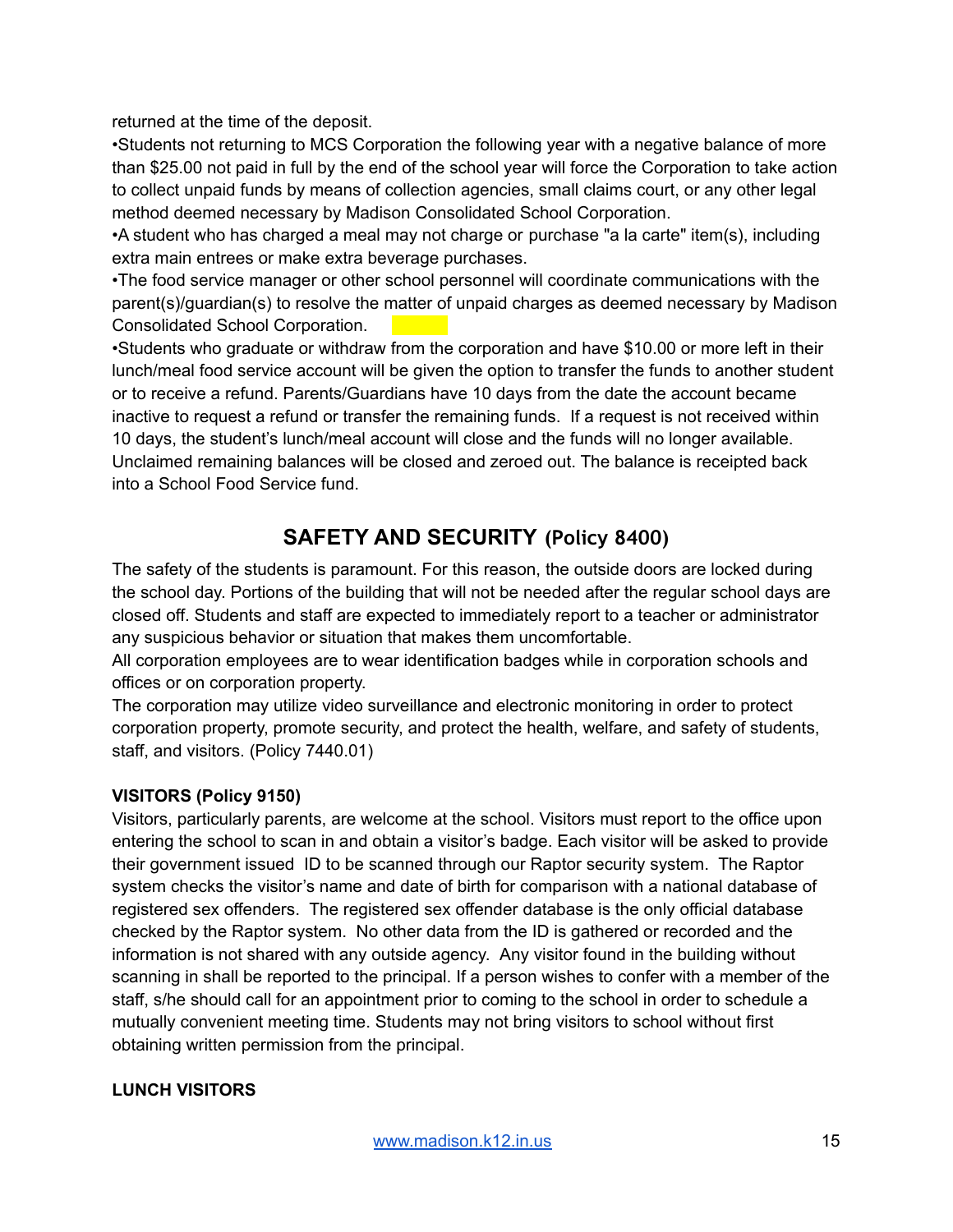returned at the time of the deposit.

•Students not returning to MCS Corporation the following year with a negative balance of more than \$25.00 not paid in full by the end of the school year will force the Corporation to take action to collect unpaid funds by means of collection agencies, small claims court, or any other legal method deemed necessary by Madison Consolidated School Corporation.

•A student who has charged a meal may not charge or purchase "a la carte" item(s), including extra main entrees or make extra beverage purchases.

•The food service manager or other school personnel will coordinate communications with the parent(s)/guardian(s) to resolve the matter of unpaid charges as deemed necessary by Madison Consolidated School Corporation.

•Students who graduate or withdraw from the corporation and have \$10.00 or more left in their lunch/meal food service account will be given the option to transfer the funds to another student or to receive a refund. Parents/Guardians have 10 days from the date the account became inactive to request a refund or transfer the remaining funds. If a request is not received within 10 days, the student's lunch/meal account will close and the funds will no longer available. Unclaimed remaining balances will be closed and zeroed out. The balance is receipted back into a School Food Service fund.

# **SAFETY AND SECURITY (Policy 8400)**

The safety of the students is paramount. For this reason, the outside doors are locked during the school day. Portions of the building that will not be needed after the regular school days are closed off. Students and staff are expected to immediately report to a teacher or administrator any suspicious behavior or situation that makes them uncomfortable.

All corporation employees are to wear identification badges while in corporation schools and offices or on corporation property.

The corporation may utilize video surveillance and electronic monitoring in order to protect corporation property, promote security, and protect the health, welfare, and safety of students, staff, and visitors. (Policy 7440.01)

## **VISITORS (Policy 9150)**

Visitors, particularly parents, are welcome at the school. Visitors must report to the office upon entering the school to scan in and obtain a visitor's badge. Each visitor will be asked to provide their government issued ID to be scanned through our Raptor security system. The Raptor system checks the visitor's name and date of birth for comparison with a national database of registered sex offenders. The registered sex offender database is the only official database checked by the Raptor system. No other data from the ID is gathered or recorded and the information is not shared with any outside agency. Any visitor found in the building without scanning in shall be reported to the principal. If a person wishes to confer with a member of the staff, s/he should call for an appointment prior to coming to the school in order to schedule a mutually convenient meeting time. Students may not bring visitors to school without first obtaining written permission from the principal.

## **LUNCH VISITORS**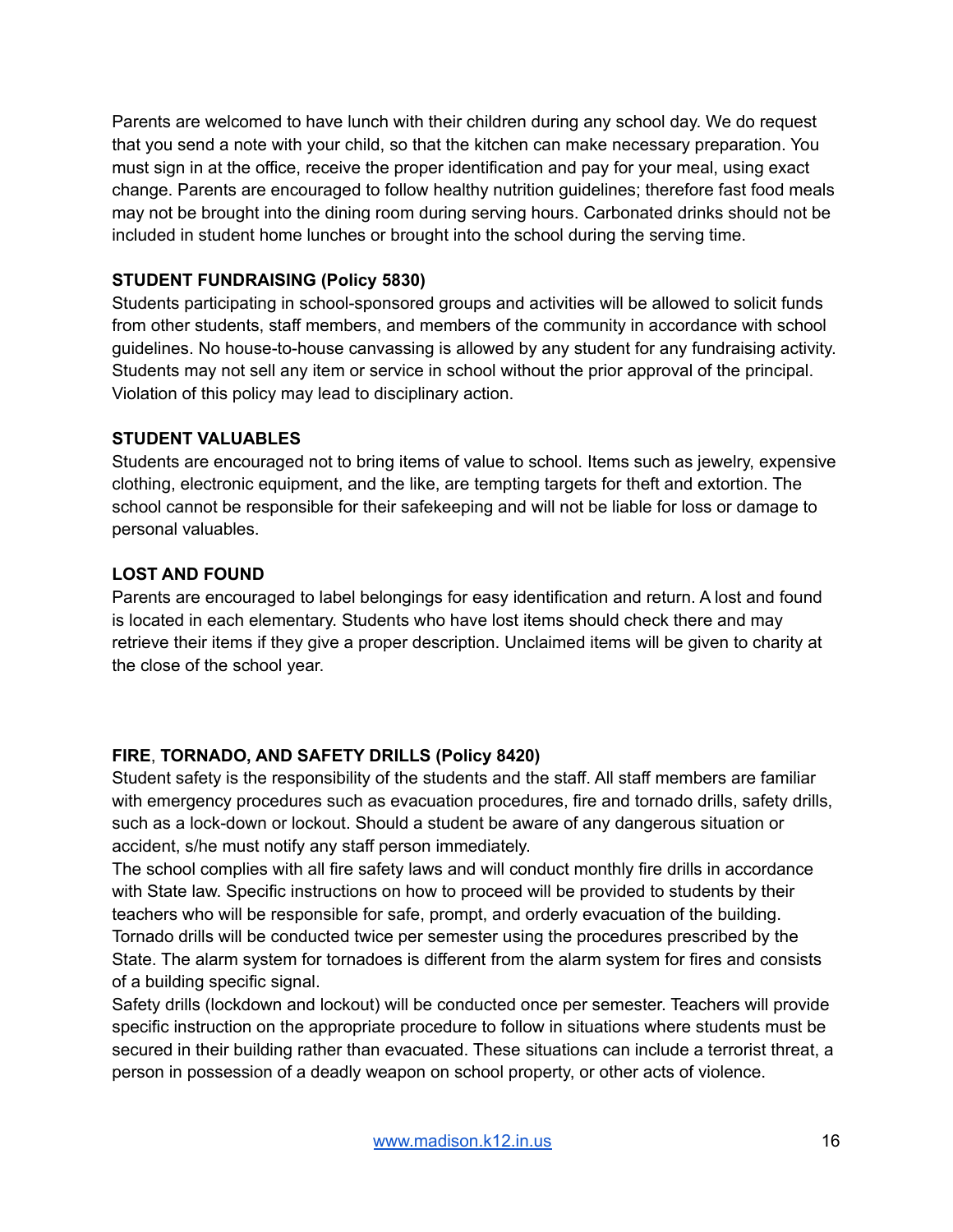Parents are welcomed to have lunch with their children during any school day. We do request that you send a note with your child, so that the kitchen can make necessary preparation. You must sign in at the office, receive the proper identification and pay for your meal, using exact change. Parents are encouraged to follow healthy nutrition guidelines; therefore fast food meals may not be brought into the dining room during serving hours. Carbonated drinks should not be included in student home lunches or brought into the school during the serving time.

## **STUDENT FUNDRAISING (Policy 5830)**

Students participating in school-sponsored groups and activities will be allowed to solicit funds from other students, staff members, and members of the community in accordance with school guidelines. No house-to-house canvassing is allowed by any student for any fundraising activity. Students may not sell any item or service in school without the prior approval of the principal. Violation of this policy may lead to disciplinary action.

## **STUDENT VALUABLES**

Students are encouraged not to bring items of value to school. Items such as jewelry, expensive clothing, electronic equipment, and the like, are tempting targets for theft and extortion. The school cannot be responsible for their safekeeping and will not be liable for loss or damage to personal valuables.

## **LOST AND FOUND**

Parents are encouraged to label belongings for easy identification and return. A lost and found is located in each elementary. Students who have lost items should check there and may retrieve their items if they give a proper description. Unclaimed items will be given to charity at the close of the school year.

## **FIRE**, **TORNADO, AND SAFETY DRILLS (Policy 8420)**

Student safety is the responsibility of the students and the staff. All staff members are familiar with emergency procedures such as evacuation procedures, fire and tornado drills, safety drills, such as a lock-down or lockout. Should a student be aware of any dangerous situation or accident, s/he must notify any staff person immediately.

The school complies with all fire safety laws and will conduct monthly fire drills in accordance with State law. Specific instructions on how to proceed will be provided to students by their teachers who will be responsible for safe, prompt, and orderly evacuation of the building. Tornado drills will be conducted twice per semester using the procedures prescribed by the State. The alarm system for tornadoes is different from the alarm system for fires and consists of a building specific signal.

Safety drills (lockdown and lockout) will be conducted once per semester. Teachers will provide specific instruction on the appropriate procedure to follow in situations where students must be secured in their building rather than evacuated. These situations can include a terrorist threat, a person in possession of a deadly weapon on school property, or other acts of violence.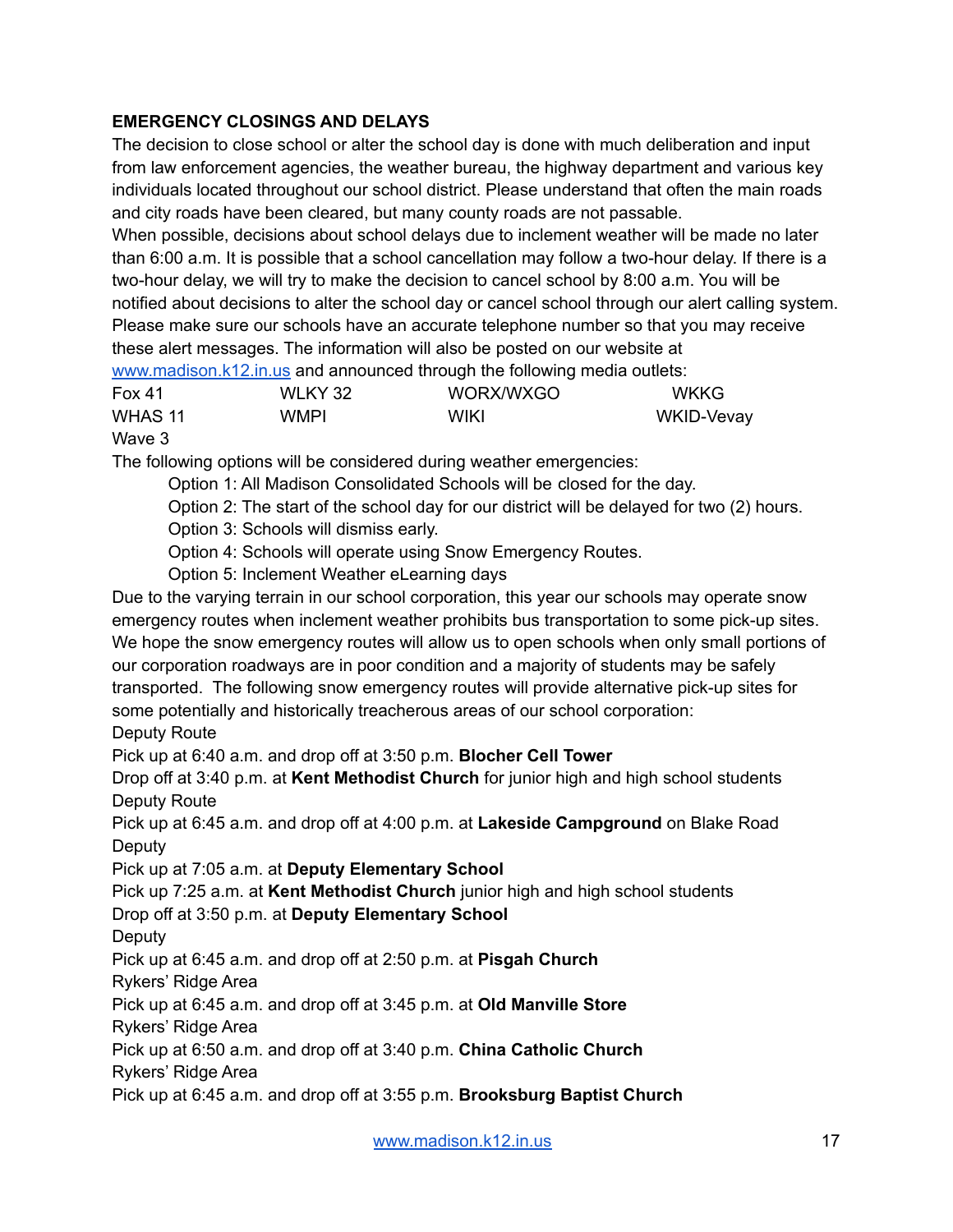## **EMERGENCY CLOSINGS AND DELAYS**

The decision to close school or alter the school day is done with much deliberation and input from law enforcement agencies, the weather bureau, the highway department and various key individuals located throughout our school district. Please understand that often the main roads and city roads have been cleared, but many county roads are not passable.

When possible, decisions about school delays due to inclement weather will be made no later than 6:00 a.m. It is possible that a school cancellation may follow a two-hour delay. If there is a two-hour delay, we will try to make the decision to cancel school by 8:00 a.m. You will be notified about decisions to alter the school day or cancel school through our alert calling system. Please make sure our schools have an accurate telephone number so that you may receive these alert messages. The information will also be posted on our website at

[www.madison.k12.in.us](http://www.madison.k12.in.us/) and announced through the following media outlets:

| Fox 41  | WLKY 32 | WORX/WXGO | <b>WKKG</b> |
|---------|---------|-----------|-------------|
| WHAS 11 | WMPI    | WIKI      | WKID-Vevay  |

Wave 3

The following options will be considered during weather emergencies:

Option 1: All Madison Consolidated Schools will be closed for the day.

Option 2: The start of the school day for our district will be delayed for two (2) hours.

Option 3: Schools will dismiss early.

Option 4: Schools will operate using Snow Emergency Routes.

Option 5: Inclement Weather eLearning days

Due to the varying terrain in our school corporation, this year our schools may operate snow emergency routes when inclement weather prohibits bus transportation to some pick-up sites. We hope the snow emergency routes will allow us to open schools when only small portions of our corporation roadways are in poor condition and a majority of students may be safely transported. The following snow emergency routes will provide alternative pick-up sites for some potentially and historically treacherous areas of our school corporation: Deputy Route

Pick up at 6:40 a.m. and drop off at 3:50 p.m. **Blocher Cell Tower**

Drop off at 3:40 p.m. at **Kent Methodist Church** for junior high and high school students Deputy Route

Pick up at 6:45 a.m. and drop off at 4:00 p.m. at **Lakeside Campground** on Blake Road **Deputy** 

Pick up at 7:05 a.m. at **Deputy Elementary School**

Pick up 7:25 a.m. at **Kent Methodist Church** junior high and high school students

Drop off at 3:50 p.m. at **Deputy Elementary School**

**Deputy** 

Pick up at 6:45 a.m. and drop off at 2:50 p.m. at **Pisgah Church**

Rykers' Ridge Area

Pick up at 6:45 a.m. and drop off at 3:45 p.m. at **Old Manville Store**

Rykers' Ridge Area

Pick up at 6:50 a.m. and drop off at 3:40 p.m. **China Catholic Church**

Rykers' Ridge Area

Pick up at 6:45 a.m. and drop off at 3:55 p.m. **Brooksburg Baptist Church**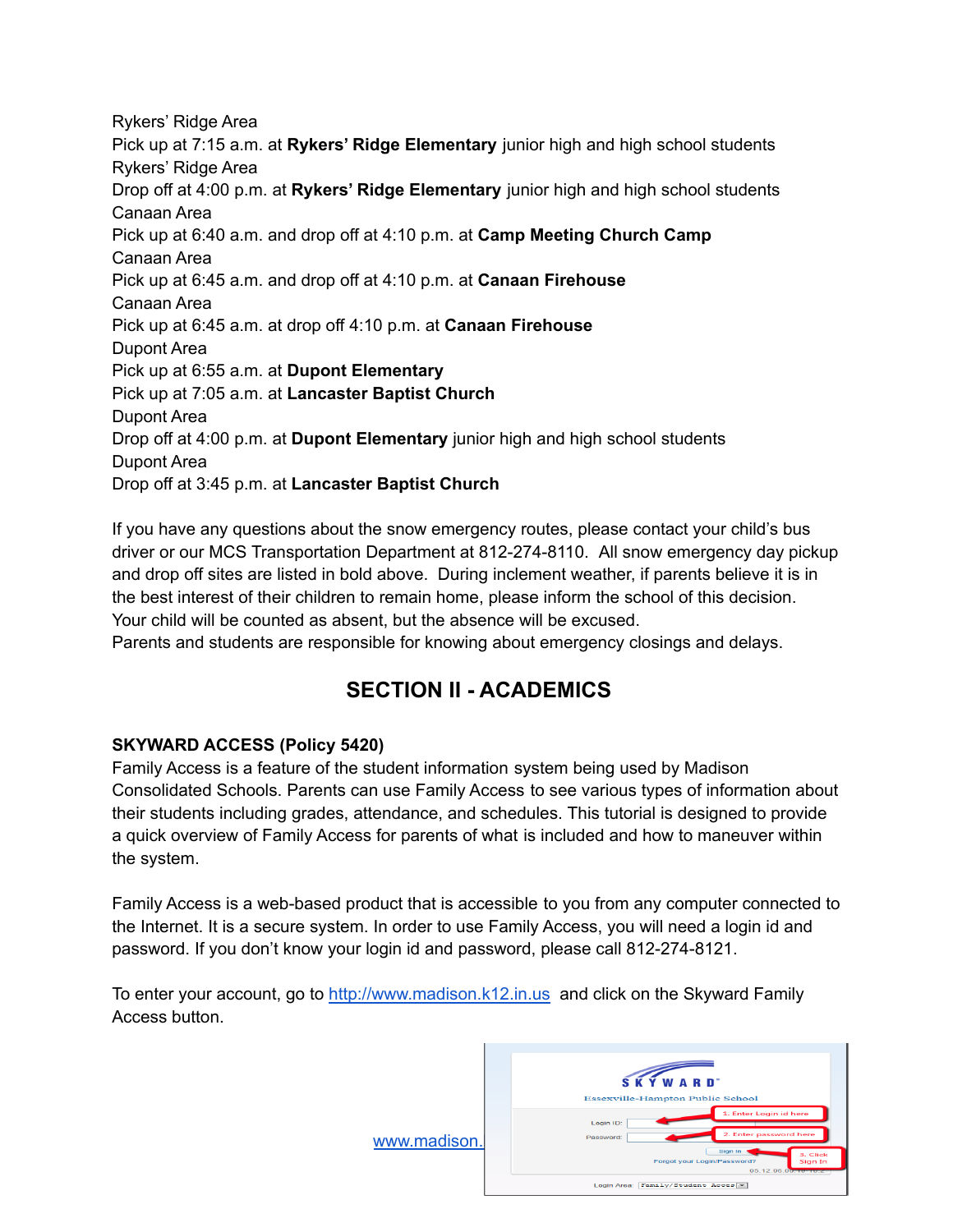Rykers' Ridge Area Pick up at 7:15 a.m. at **Rykers' Ridge Elementary** junior high and high school students Rykers' Ridge Area Drop off at 4:00 p.m. at **Rykers' Ridge Elementary** junior high and high school students Canaan Area Pick up at 6:40 a.m. and drop off at 4:10 p.m. at **Camp Meeting Church Camp** Canaan Area Pick up at 6:45 a.m. and drop off at 4:10 p.m. at **Canaan Firehouse** Canaan Area Pick up at 6:45 a.m. at drop off 4:10 p.m. at **Canaan Firehouse** Dupont Area Pick up at 6:55 a.m. at **Dupont Elementary** Pick up at 7:05 a.m. at **Lancaster Baptist Church** Dupont Area Drop off at 4:00 p.m. at **Dupont Elementary** junior high and high school students Dupont Area Drop off at 3:45 p.m. at **Lancaster Baptist Church**

If you have any questions about the snow emergency routes, please contact your child's bus driver or our MCS Transportation Department at 812-274-8110. All snow emergency day pickup and drop off sites are listed in bold above. During inclement weather, if parents believe it is in the best interest of their children to remain home, please inform the school of this decision. Your child will be counted as absent, but the absence will be excused.

Parents and students are responsible for knowing about emergency closings and delays.

# **SECTION II - ACADEMICS**

## **SKYWARD ACCESS (Policy 5420)**

Family Access is a feature of the student information system being used by Madison Consolidated Schools. Parents can use Family Access to see various types of information about their students including grades, attendance, and schedules. This tutorial is designed to provide a quick overview of Family Access for parents of what is included and how to maneuver within the system.

Family Access is a web-based product that is accessible to you from any computer connected to the Internet. It is a secure system. In order to use Family Access, you will need a login id and password. If you don't know your login id and password, please call 812-274-8121.

To enter your account, go to <http://www.madison.k12.in.us> and click on the Skyward Family Access button.

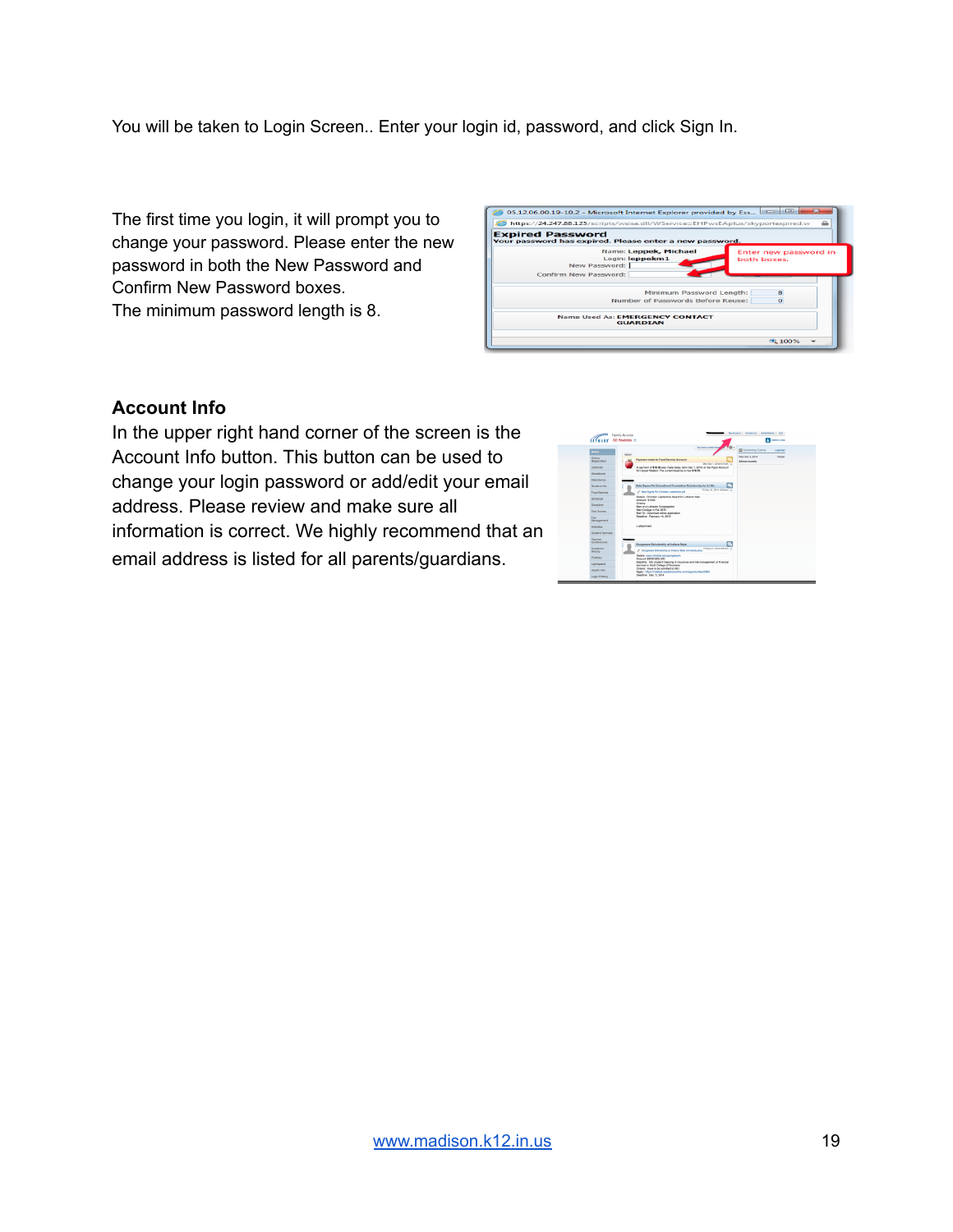You will be taken to Login Screen.. Enter your login id, password, and click Sign In.

The first time you login, it will prompt you to change your password. Please enter the new password in both the New Password and Confirm New Password boxes. The minimum password length is 8.



### **Account Info**

In the upper right hand corner of the screen is the Account Info button. This button can be used to change your login password or add/edit your email address. Please review and make sure all information is correct. We highly recommend that an email address is listed for all parents/guardians.

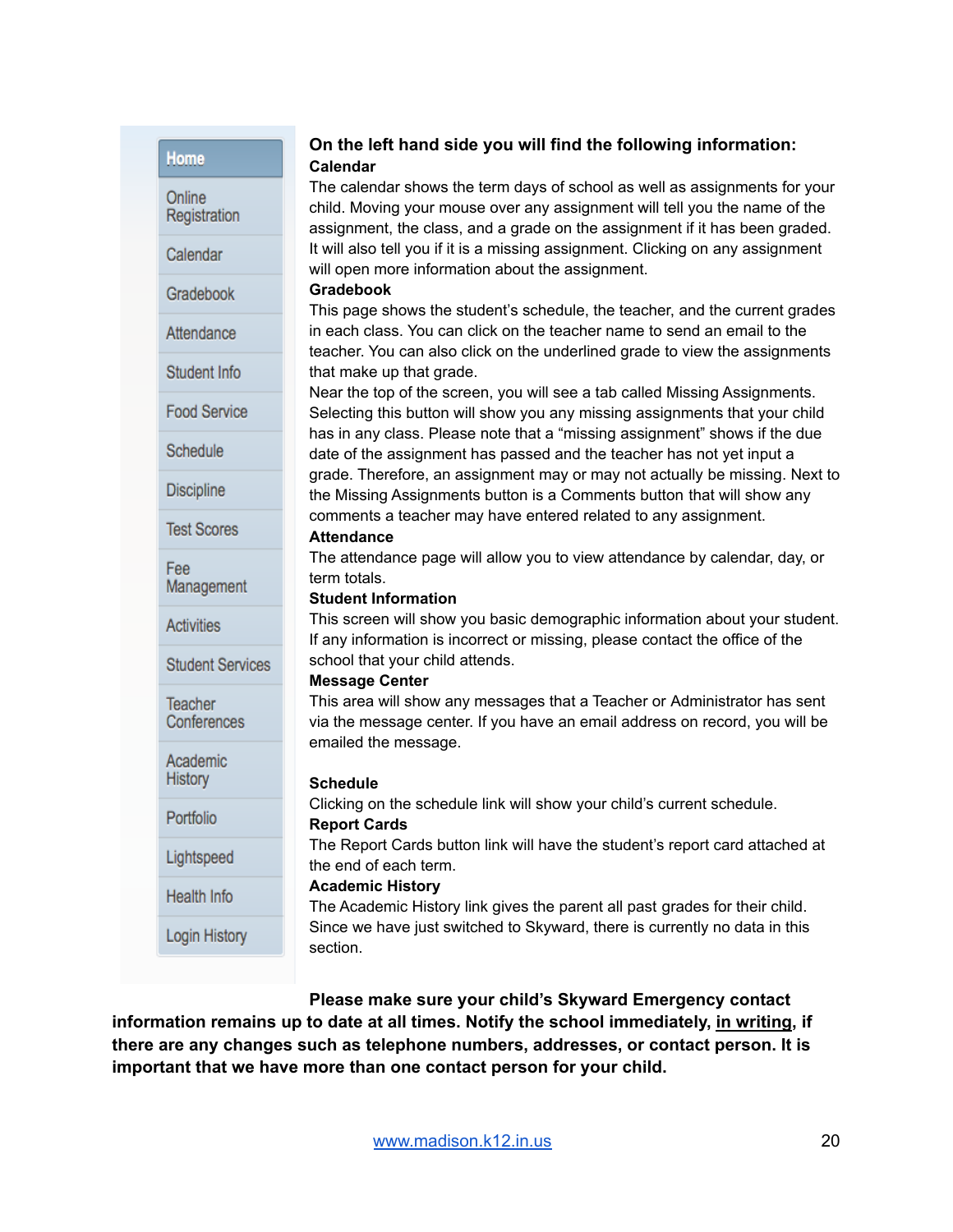| The calendar shows the term days of school as well as assignments for your<br>Online<br>child. Moving your mouse over any assignment will tell you the name of the<br>Registration<br>assignment, the class, and a grade on the assignment if it has been graded.<br>It will also tell you if it is a missing assignment. Clicking on any assignment<br>Calendar<br>will open more information about the assignment.<br><b>Gradebook</b><br>Gradebook<br>This page shows the student's schedule, the teacher, and the current grades<br>in each class. You can click on the teacher name to send an email to the<br>Attendance<br>teacher. You can also click on the underlined grade to view the assignments<br>Student Info<br>that make up that grade.<br>Near the top of the screen, you will see a tab called Missing Assignments.<br><b>Food Service</b><br>Selecting this button will show you any missing assignments that your child<br>has in any class. Please note that a "missing assignment" shows if the due<br>Schedule<br>date of the assignment has passed and the teacher has not yet input a<br><b>Discipline</b><br>the Missing Assignments button is a Comments button that will show any<br>comments a teacher may have entered related to any assignment.<br><b>Test Scores</b><br><b>Attendance</b><br>The attendance page will allow you to view attendance by calendar, day, or<br>Fee<br>term totals.<br>Management<br><b>Student Information</b><br><b>Activities</b><br>If any information is incorrect or missing, please contact the office of the<br>school that your child attends.<br><b>Student Services</b><br><b>Message Center</b><br>This area will show any messages that a Teacher or Administrator has sent<br>Teacher<br>Conferences<br>via the message center. If you have an email address on record, you will be<br>emailed the message.<br>Academic<br>History<br><b>Schedule</b><br>Clicking on the schedule link will show your child's current schedule.<br>Portfolio<br><b>Report Cards</b><br>The Report Cards button link will have the student's report card attached at<br>Lightspeed<br>the end of each term.<br><b>Academic History</b><br>Health Info<br>The Academic History link gives the parent all past grades for their child.<br>Since we have just switched to Skyward, there is currently no data in this<br>Login History<br>section. | Home | On the left hand side you will find the following information:<br><b>Calendar</b> |
|------------------------------------------------------------------------------------------------------------------------------------------------------------------------------------------------------------------------------------------------------------------------------------------------------------------------------------------------------------------------------------------------------------------------------------------------------------------------------------------------------------------------------------------------------------------------------------------------------------------------------------------------------------------------------------------------------------------------------------------------------------------------------------------------------------------------------------------------------------------------------------------------------------------------------------------------------------------------------------------------------------------------------------------------------------------------------------------------------------------------------------------------------------------------------------------------------------------------------------------------------------------------------------------------------------------------------------------------------------------------------------------------------------------------------------------------------------------------------------------------------------------------------------------------------------------------------------------------------------------------------------------------------------------------------------------------------------------------------------------------------------------------------------------------------------------------------------------------------------------------------------------------------------------------------------------------------------------------------------------------------------------------------------------------------------------------------------------------------------------------------------------------------------------------------------------------------------------------------------------------------------------------------------------------------------------------------------------------------------------------------------------------------------|------|-----------------------------------------------------------------------------------|
| This screen will show you basic demographic information about your student.                                                                                                                                                                                                                                                                                                                                                                                                                                                                                                                                                                                                                                                                                                                                                                                                                                                                                                                                                                                                                                                                                                                                                                                                                                                                                                                                                                                                                                                                                                                                                                                                                                                                                                                                                                                                                                                                                                                                                                                                                                                                                                                                                                                                                                                                                                                                |      |                                                                                   |
|                                                                                                                                                                                                                                                                                                                                                                                                                                                                                                                                                                                                                                                                                                                                                                                                                                                                                                                                                                                                                                                                                                                                                                                                                                                                                                                                                                                                                                                                                                                                                                                                                                                                                                                                                                                                                                                                                                                                                                                                                                                                                                                                                                                                                                                                                                                                                                                                            |      |                                                                                   |
|                                                                                                                                                                                                                                                                                                                                                                                                                                                                                                                                                                                                                                                                                                                                                                                                                                                                                                                                                                                                                                                                                                                                                                                                                                                                                                                                                                                                                                                                                                                                                                                                                                                                                                                                                                                                                                                                                                                                                                                                                                                                                                                                                                                                                                                                                                                                                                                                            |      |                                                                                   |
|                                                                                                                                                                                                                                                                                                                                                                                                                                                                                                                                                                                                                                                                                                                                                                                                                                                                                                                                                                                                                                                                                                                                                                                                                                                                                                                                                                                                                                                                                                                                                                                                                                                                                                                                                                                                                                                                                                                                                                                                                                                                                                                                                                                                                                                                                                                                                                                                            |      |                                                                                   |
|                                                                                                                                                                                                                                                                                                                                                                                                                                                                                                                                                                                                                                                                                                                                                                                                                                                                                                                                                                                                                                                                                                                                                                                                                                                                                                                                                                                                                                                                                                                                                                                                                                                                                                                                                                                                                                                                                                                                                                                                                                                                                                                                                                                                                                                                                                                                                                                                            |      |                                                                                   |
| grade. Therefore, an assignment may or may not actually be missing. Next to                                                                                                                                                                                                                                                                                                                                                                                                                                                                                                                                                                                                                                                                                                                                                                                                                                                                                                                                                                                                                                                                                                                                                                                                                                                                                                                                                                                                                                                                                                                                                                                                                                                                                                                                                                                                                                                                                                                                                                                                                                                                                                                                                                                                                                                                                                                                |      |                                                                                   |
|                                                                                                                                                                                                                                                                                                                                                                                                                                                                                                                                                                                                                                                                                                                                                                                                                                                                                                                                                                                                                                                                                                                                                                                                                                                                                                                                                                                                                                                                                                                                                                                                                                                                                                                                                                                                                                                                                                                                                                                                                                                                                                                                                                                                                                                                                                                                                                                                            |      |                                                                                   |
|                                                                                                                                                                                                                                                                                                                                                                                                                                                                                                                                                                                                                                                                                                                                                                                                                                                                                                                                                                                                                                                                                                                                                                                                                                                                                                                                                                                                                                                                                                                                                                                                                                                                                                                                                                                                                                                                                                                                                                                                                                                                                                                                                                                                                                                                                                                                                                                                            |      |                                                                                   |
|                                                                                                                                                                                                                                                                                                                                                                                                                                                                                                                                                                                                                                                                                                                                                                                                                                                                                                                                                                                                                                                                                                                                                                                                                                                                                                                                                                                                                                                                                                                                                                                                                                                                                                                                                                                                                                                                                                                                                                                                                                                                                                                                                                                                                                                                                                                                                                                                            |      |                                                                                   |
|                                                                                                                                                                                                                                                                                                                                                                                                                                                                                                                                                                                                                                                                                                                                                                                                                                                                                                                                                                                                                                                                                                                                                                                                                                                                                                                                                                                                                                                                                                                                                                                                                                                                                                                                                                                                                                                                                                                                                                                                                                                                                                                                                                                                                                                                                                                                                                                                            |      |                                                                                   |
|                                                                                                                                                                                                                                                                                                                                                                                                                                                                                                                                                                                                                                                                                                                                                                                                                                                                                                                                                                                                                                                                                                                                                                                                                                                                                                                                                                                                                                                                                                                                                                                                                                                                                                                                                                                                                                                                                                                                                                                                                                                                                                                                                                                                                                                                                                                                                                                                            |      |                                                                                   |
|                                                                                                                                                                                                                                                                                                                                                                                                                                                                                                                                                                                                                                                                                                                                                                                                                                                                                                                                                                                                                                                                                                                                                                                                                                                                                                                                                                                                                                                                                                                                                                                                                                                                                                                                                                                                                                                                                                                                                                                                                                                                                                                                                                                                                                                                                                                                                                                                            |      |                                                                                   |
|                                                                                                                                                                                                                                                                                                                                                                                                                                                                                                                                                                                                                                                                                                                                                                                                                                                                                                                                                                                                                                                                                                                                                                                                                                                                                                                                                                                                                                                                                                                                                                                                                                                                                                                                                                                                                                                                                                                                                                                                                                                                                                                                                                                                                                                                                                                                                                                                            |      |                                                                                   |
|                                                                                                                                                                                                                                                                                                                                                                                                                                                                                                                                                                                                                                                                                                                                                                                                                                                                                                                                                                                                                                                                                                                                                                                                                                                                                                                                                                                                                                                                                                                                                                                                                                                                                                                                                                                                                                                                                                                                                                                                                                                                                                                                                                                                                                                                                                                                                                                                            |      |                                                                                   |
|                                                                                                                                                                                                                                                                                                                                                                                                                                                                                                                                                                                                                                                                                                                                                                                                                                                                                                                                                                                                                                                                                                                                                                                                                                                                                                                                                                                                                                                                                                                                                                                                                                                                                                                                                                                                                                                                                                                                                                                                                                                                                                                                                                                                                                                                                                                                                                                                            |      |                                                                                   |
|                                                                                                                                                                                                                                                                                                                                                                                                                                                                                                                                                                                                                                                                                                                                                                                                                                                                                                                                                                                                                                                                                                                                                                                                                                                                                                                                                                                                                                                                                                                                                                                                                                                                                                                                                                                                                                                                                                                                                                                                                                                                                                                                                                                                                                                                                                                                                                                                            |      |                                                                                   |
|                                                                                                                                                                                                                                                                                                                                                                                                                                                                                                                                                                                                                                                                                                                                                                                                                                                                                                                                                                                                                                                                                                                                                                                                                                                                                                                                                                                                                                                                                                                                                                                                                                                                                                                                                                                                                                                                                                                                                                                                                                                                                                                                                                                                                                                                                                                                                                                                            |      |                                                                                   |
|                                                                                                                                                                                                                                                                                                                                                                                                                                                                                                                                                                                                                                                                                                                                                                                                                                                                                                                                                                                                                                                                                                                                                                                                                                                                                                                                                                                                                                                                                                                                                                                                                                                                                                                                                                                                                                                                                                                                                                                                                                                                                                                                                                                                                                                                                                                                                                                                            |      |                                                                                   |

## **Please make sure your child's Skyward Emergency contact**

**information remains up to date at all times. Notify the school immediately, in writing, if there are any changes such as telephone numbers, addresses, or contact person. It is important that we have more than one contact person for your child.**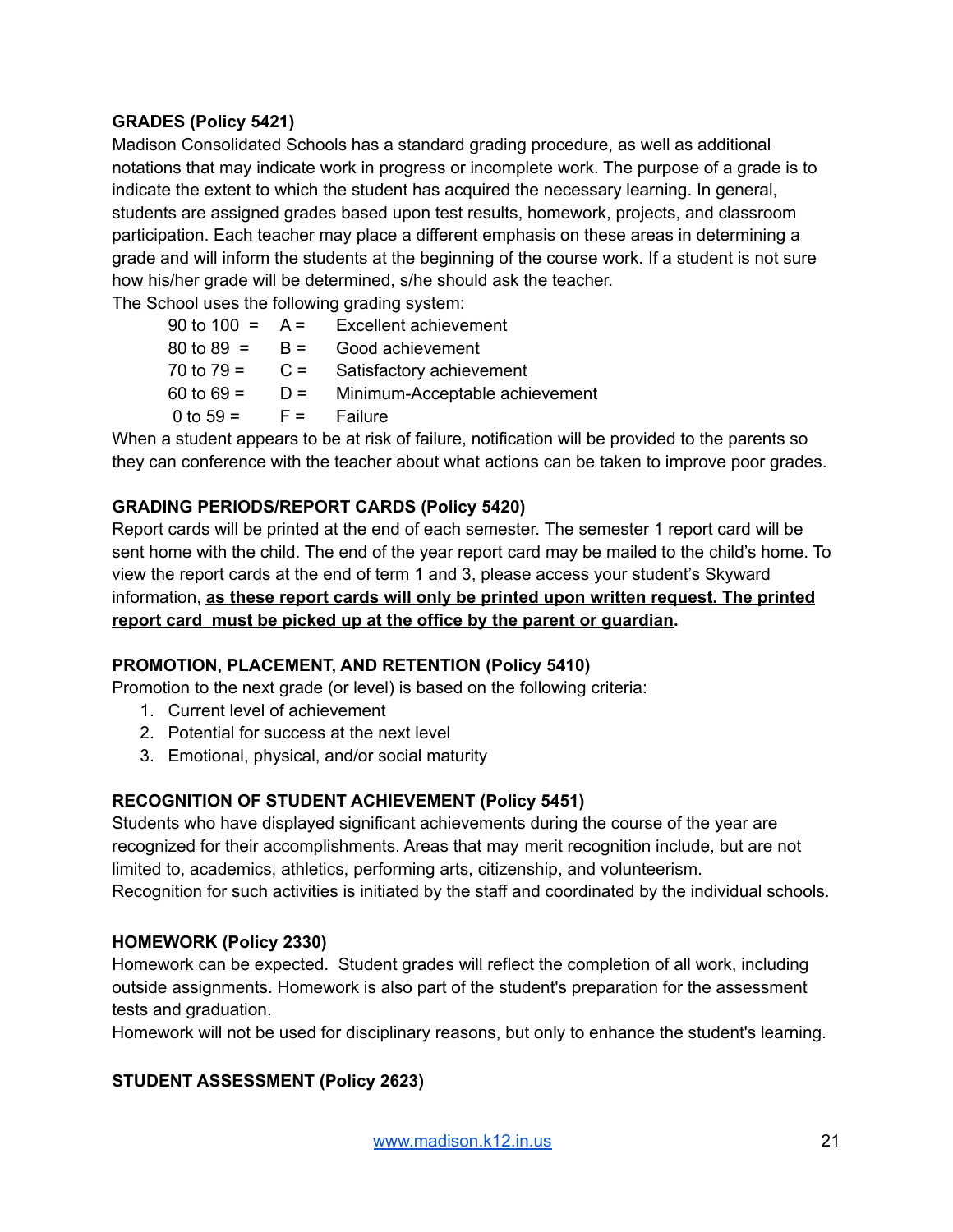## **GRADES (Policy 5421)**

Madison Consolidated Schools has a standard grading procedure, as well as additional notations that may indicate work in progress or incomplete work. The purpose of a grade is to indicate the extent to which the student has acquired the necessary learning. In general, students are assigned grades based upon test results, homework, projects, and classroom participation. Each teacher may place a different emphasis on these areas in determining a grade and will inform the students at the beginning of the course work. If a student is not sure how his/her grade will be determined, s/he should ask the teacher.

The School uses the following grading system:

| 90 to $100 = A =$     |       | <b>Excellent achievement</b>   |
|-----------------------|-------|--------------------------------|
| $80 \text{ to } 89 =$ | $B =$ | Good achievement               |
| 70 to $79 =$          | $C =$ | Satisfactory achievement       |
| 60 to 69 $=$          | $D =$ | Minimum-Acceptable achievement |
| 0 to 59 =             | $F =$ | Failure                        |

When a student appears to be at risk of failure, notification will be provided to the parents so they can conference with the teacher about what actions can be taken to improve poor grades.

## **GRADING PERIODS/REPORT CARDS (Policy 5420)**

Report cards will be printed at the end of each semester. The semester 1 report card will be sent home with the child. The end of the year report card may be mailed to the child's home. To view the report cards at the end of term 1 and 3, please access your student's Skyward information, **as these report cards will only be printed upon written request. The printed report card must be picked up at the office by the parent or guardian.**

## **PROMOTION, PLACEMENT, AND RETENTION (Policy 5410)**

Promotion to the next grade (or level) is based on the following criteria:

- 1. Current level of achievement
- 2. Potential for success at the next level
- 3. Emotional, physical, and/or social maturity

## **RECOGNITION OF STUDENT ACHIEVEMENT (Policy 5451)**

Students who have displayed significant achievements during the course of the year are recognized for their accomplishments. Areas that may merit recognition include, but are not limited to, academics, athletics, performing arts, citizenship, and volunteerism. Recognition for such activities is initiated by the staff and coordinated by the individual schools.

## **HOMEWORK (Policy 2330)**

Homework can be expected. Student grades will reflect the completion of all work, including outside assignments. Homework is also part of the student's preparation for the assessment tests and graduation.

Homework will not be used for disciplinary reasons, but only to enhance the student's learning.

## **STUDENT ASSESSMENT (Policy 2623)**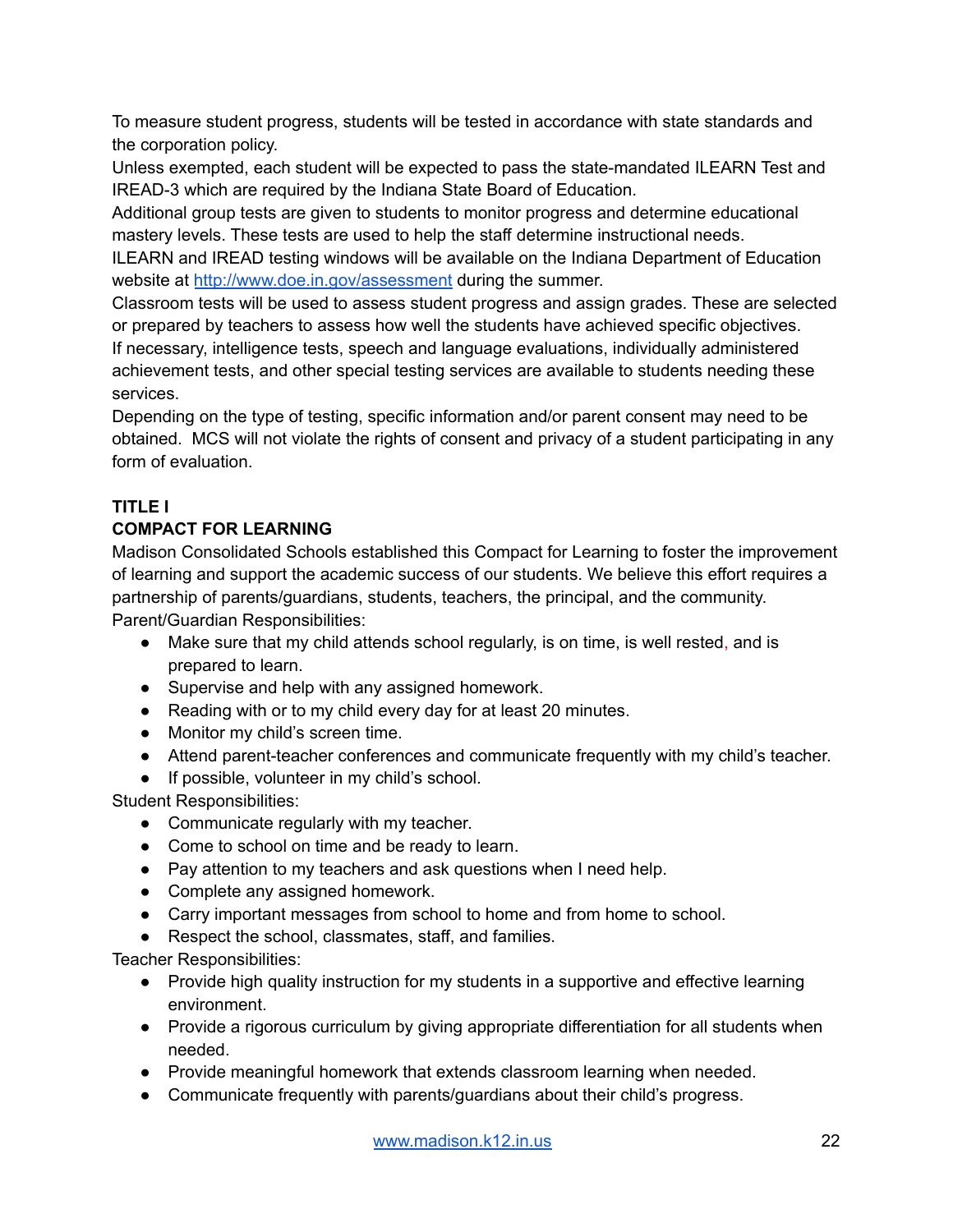To measure student progress, students will be tested in accordance with state standards and the corporation policy.

Unless exempted, each student will be expected to pass the state-mandated ILEARN Test and IREAD-3 which are required by the Indiana State Board of Education.

Additional group tests are given to students to monitor progress and determine educational mastery levels. These tests are used to help the staff determine instructional needs.

ILEARN and IREAD testing windows will be available on the Indiana Department of Education website at <http://www.doe.in.gov/assessment> during the summer.

Classroom tests will be used to assess student progress and assign grades. These are selected or prepared by teachers to assess how well the students have achieved specific objectives. If necessary, intelligence tests, speech and language evaluations, individually administered achievement tests, and other special testing services are available to students needing these services.

Depending on the type of testing, specific information and/or parent consent may need to be obtained. MCS will not violate the rights of consent and privacy of a student participating in any form of evaluation.

## **TITLE I**

## **COMPACT FOR LEARNING**

Madison Consolidated Schools established this Compact for Learning to foster the improvement of learning and support the academic success of our students. We believe this effort requires a partnership of parents/guardians, students, teachers, the principal, and the community. Parent/Guardian Responsibilities:

- Make sure that my child attends school regularly, is on time, is well rested, and is prepared to learn.
- Supervise and help with any assigned homework.
- Reading with or to my child every day for at least 20 minutes.
- Monitor my child's screen time.
- Attend parent-teacher conferences and communicate frequently with my child's teacher.
- If possible, volunteer in my child's school.

Student Responsibilities:

- Communicate regularly with my teacher.
- Come to school on time and be ready to learn.
- Pay attention to my teachers and ask questions when I need help.
- Complete any assigned homework.
- Carry important messages from school to home and from home to school.
- Respect the school, classmates, staff, and families.

Teacher Responsibilities:

- Provide high quality instruction for my students in a supportive and effective learning environment.
- Provide a rigorous curriculum by giving appropriate differentiation for all students when needed.
- Provide meaningful homework that extends classroom learning when needed.
- Communicate frequently with parents/guardians about their child's progress.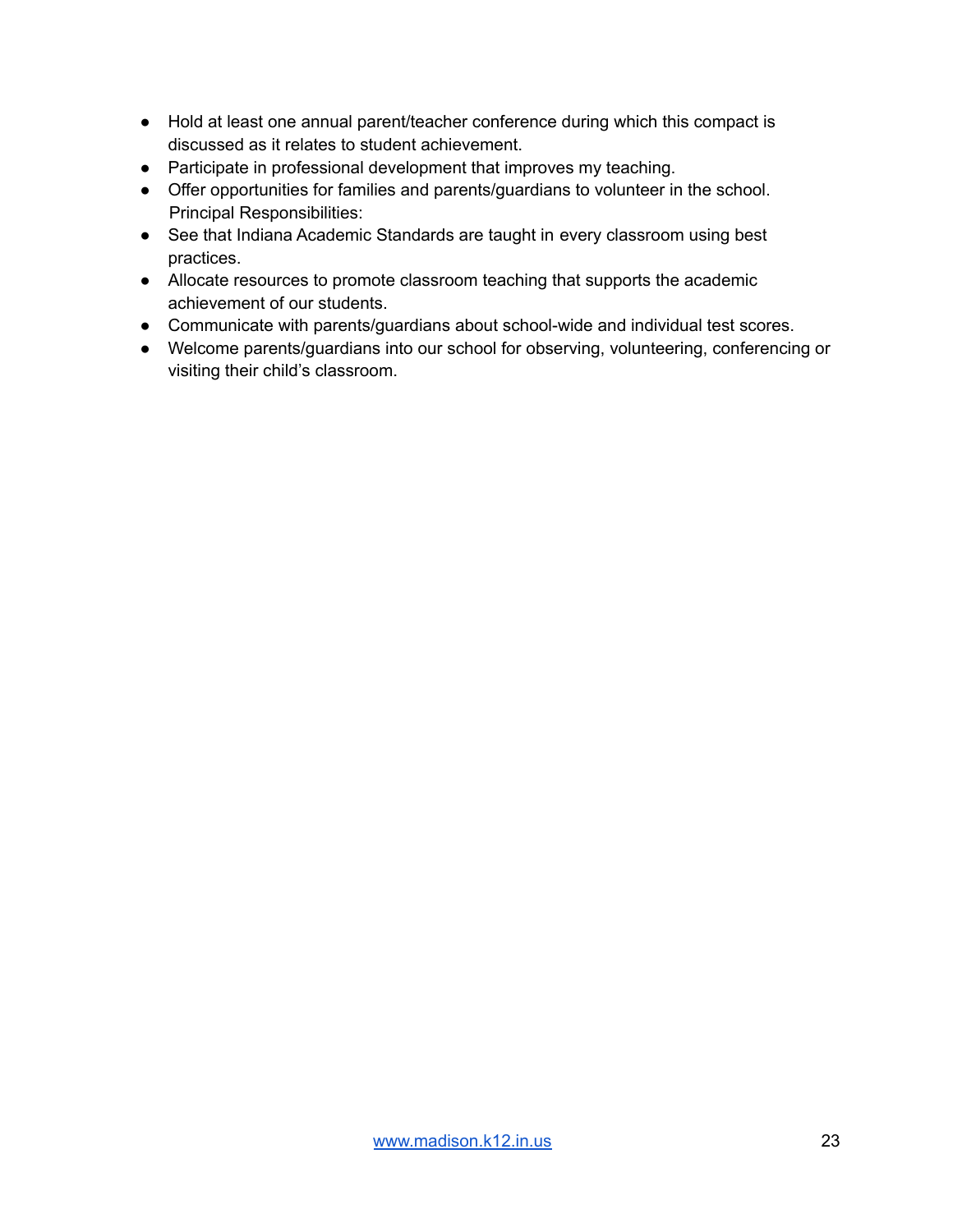- Hold at least one annual parent/teacher conference during which this compact is discussed as it relates to student achievement.
- Participate in professional development that improves my teaching.
- Offer opportunities for families and parents/guardians to volunteer in the school. Principal Responsibilities:
- See that Indiana Academic Standards are taught in every classroom using best practices.
- Allocate resources to promote classroom teaching that supports the academic achievement of our students.
- Communicate with parents/guardians about school-wide and individual test scores.
- Welcome parents/guardians into our school for observing, volunteering, conferencing or visiting their child's classroom.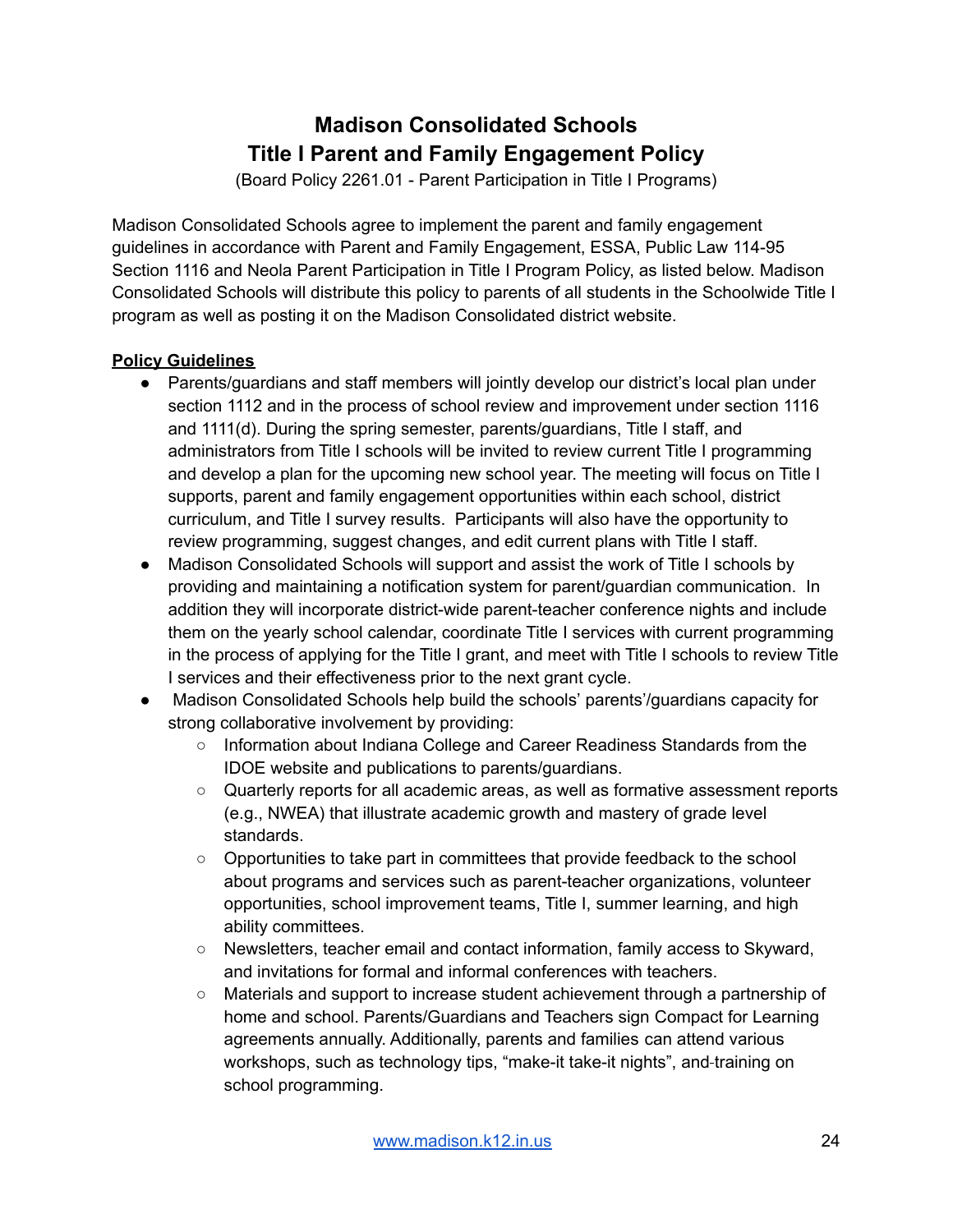# **Madison Consolidated Schools Title I Parent and Family Engagement Policy**

(Board Policy 2261.01 - Parent Participation in Title I Programs)

Madison Consolidated Schools agree to implement the parent and family engagement guidelines in accordance with Parent and Family Engagement, ESSA, Public Law 114-95 Section 1116 and Neola Parent Participation in Title I Program Policy, as listed below. Madison Consolidated Schools will distribute this policy to parents of all students in the Schoolwide Title I program as well as posting it on the Madison Consolidated district website.

## **Policy Guidelines**

- Parents/guardians and staff members will jointly develop our district's local plan under section 1112 and in the process of school review and improvement under section 1116 and 1111(d). During the spring semester, parents/guardians, Title I staff, and administrators from Title I schools will be invited to review current Title I programming and develop a plan for the upcoming new school year. The meeting will focus on Title I supports, parent and family engagement opportunities within each school, district curriculum, and Title I survey results. Participants will also have the opportunity to review programming, suggest changes, and edit current plans with Title I staff.
- Madison Consolidated Schools will support and assist the work of Title I schools by providing and maintaining a notification system for parent/guardian communication. In addition they will incorporate district-wide parent-teacher conference nights and include them on the yearly school calendar, coordinate Title I services with current programming in the process of applying for the Title I grant, and meet with Title I schools to review Title I services and their effectiveness prior to the next grant cycle.
- Madison Consolidated Schools help build the schools' parents'/guardians capacity for strong collaborative involvement by providing:
	- Information about Indiana College and Career Readiness Standards from the IDOE website and publications to parents/guardians.
	- Quarterly reports for all academic areas, as well as formative assessment reports (e.g., NWEA) that illustrate academic growth and mastery of grade level standards.
	- Opportunities to take part in committees that provide feedback to the school about programs and services such as parent-teacher organizations, volunteer opportunities, school improvement teams, Title I, summer learning, and high ability committees.
	- Newsletters, teacher email and contact information, family access to Skyward, and invitations for formal and informal conferences with teachers.
	- Materials and support to increase student achievement through a partnership of home and school. Parents/Guardians and Teachers sign Compact for Learning agreements annually. Additionally, parents and families can attend various workshops, such as technology tips, "make-it take-it nights", and-training on school programming.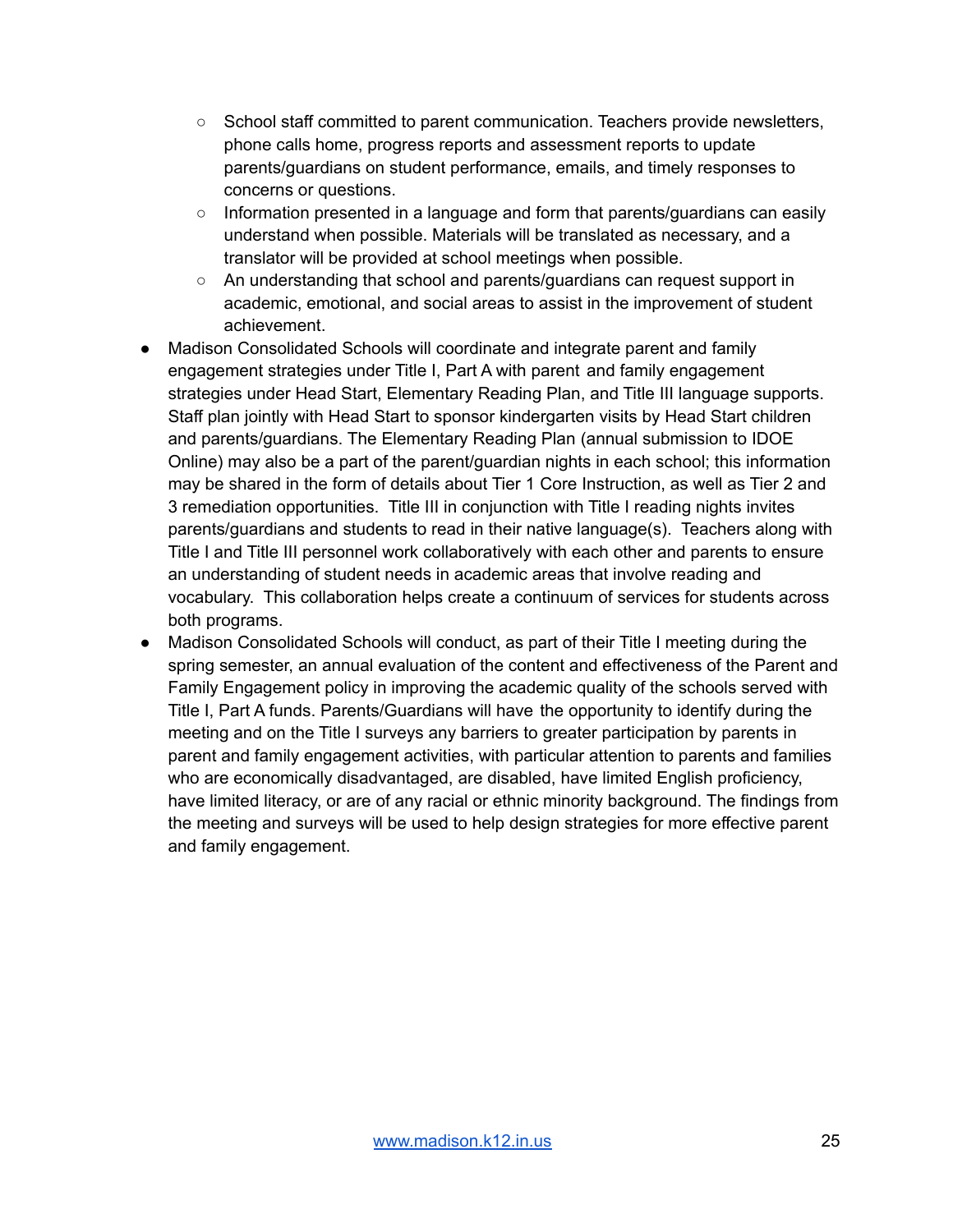- School staff committed to parent communication. Teachers provide newsletters, phone calls home, progress reports and assessment reports to update parents/guardians on student performance, emails, and timely responses to concerns or questions.
- Information presented in a language and form that parents/guardians can easily understand when possible. Materials will be translated as necessary, and a translator will be provided at school meetings when possible.
- An understanding that school and parents/guardians can request support in academic, emotional, and social areas to assist in the improvement of student achievement.
- Madison Consolidated Schools will coordinate and integrate parent and family engagement strategies under Title I, Part A with parent and family engagement strategies under Head Start, Elementary Reading Plan, and Title III language supports. Staff plan jointly with Head Start to sponsor kindergarten visits by Head Start children and parents/guardians. The Elementary Reading Plan (annual submission to IDOE Online) may also be a part of the parent/guardian nights in each school; this information may be shared in the form of details about Tier 1 Core Instruction, as well as Tier 2 and 3 remediation opportunities. Title III in conjunction with Title I reading nights invites parents/guardians and students to read in their native language(s). Teachers along with Title I and Title III personnel work collaboratively with each other and parents to ensure an understanding of student needs in academic areas that involve reading and vocabulary. This collaboration helps create a continuum of services for students across both programs.
- Madison Consolidated Schools will conduct, as part of their Title I meeting during the spring semester, an annual evaluation of the content and effectiveness of the Parent and Family Engagement policy in improving the academic quality of the schools served with Title I, Part A funds. Parents/Guardians will have the opportunity to identify during the meeting and on the Title I surveys any barriers to greater participation by parents in parent and family engagement activities, with particular attention to parents and families who are economically disadvantaged, are disabled, have limited English proficiency, have limited literacy, or are of any racial or ethnic minority background. The findings from the meeting and surveys will be used to help design strategies for more effective parent and family engagement.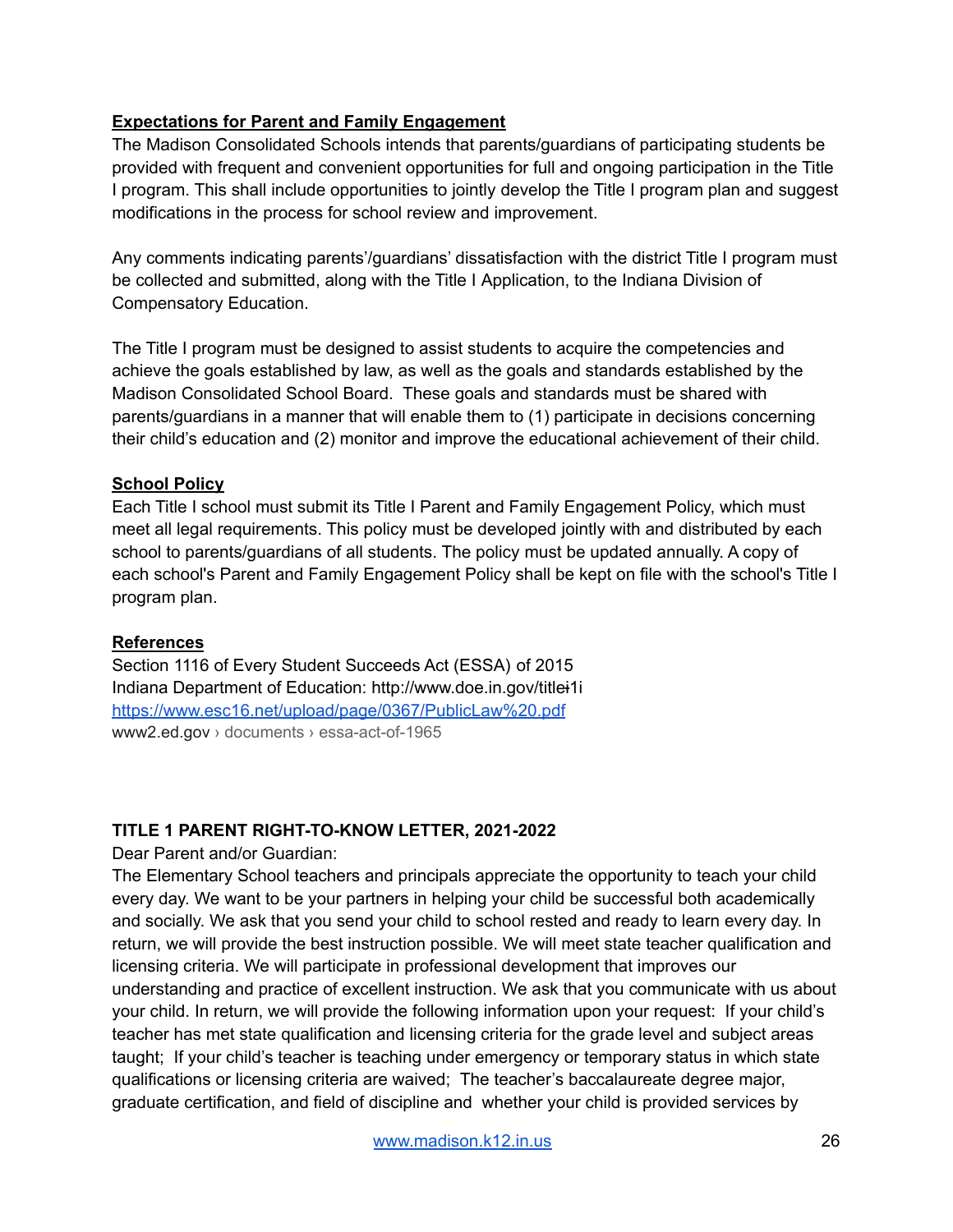## **Expectations for Parent and Family Engagement**

The Madison Consolidated Schools intends that parents/guardians of participating students be provided with frequent and convenient opportunities for full and ongoing participation in the Title I program. This shall include opportunities to jointly develop the Title I program plan and suggest modifications in the process for school review and improvement.

Any comments indicating parents'/guardians' dissatisfaction with the district Title I program must be collected and submitted, along with the Title I Application, to the Indiana Division of Compensatory Education.

The Title I program must be designed to assist students to acquire the competencies and achieve the goals established by law, as well as the goals and standards established by the Madison Consolidated School Board. These goals and standards must be shared with parents/guardians in a manner that will enable them to (1) participate in decisions concerning their child's education and (2) monitor and improve the educational achievement of their child.

### **School Policy**

Each Title I school must submit its Title I Parent and Family Engagement Policy, which must meet all legal requirements. This policy must be developed jointly with and distributed by each school to parents/guardians of all students. The policy must be updated annually. A copy of each school's Parent and Family Engagement Policy shall be kept on file with the school's Title I program plan.

#### **References**

Section 1116 of Every Student Succeeds Act (ESSA) of 2015 Indiana Department of Education: http://www.doe.in.gov/titlei1i <https://www.esc16.net/upload/page/0367/PublicLaw%20.pdf> www2.ed.gov [› documents › essa-act-of-1965](http://www2.ed.gov/documents/essa-act-of-1965.pdf)

## **TITLE 1 PARENT RIGHT-TO-KNOW LETTER, 2021-2022**

Dear Parent and/or Guardian:

The Elementary School teachers and principals appreciate the opportunity to teach your child every day. We want to be your partners in helping your child be successful both academically and socially. We ask that you send your child to school rested and ready to learn every day. In return, we will provide the best instruction possible. We will meet state teacher qualification and licensing criteria. We will participate in professional development that improves our understanding and practice of excellent instruction. We ask that you communicate with us about your child. In return, we will provide the following information upon your request: If your child's teacher has met state qualification and licensing criteria for the grade level and subject areas taught; If your child's teacher is teaching under emergency or temporary status in which state qualifications or licensing criteria are waived; The teacher's baccalaureate degree major, graduate certification, and field of discipline and whether your child is provided services by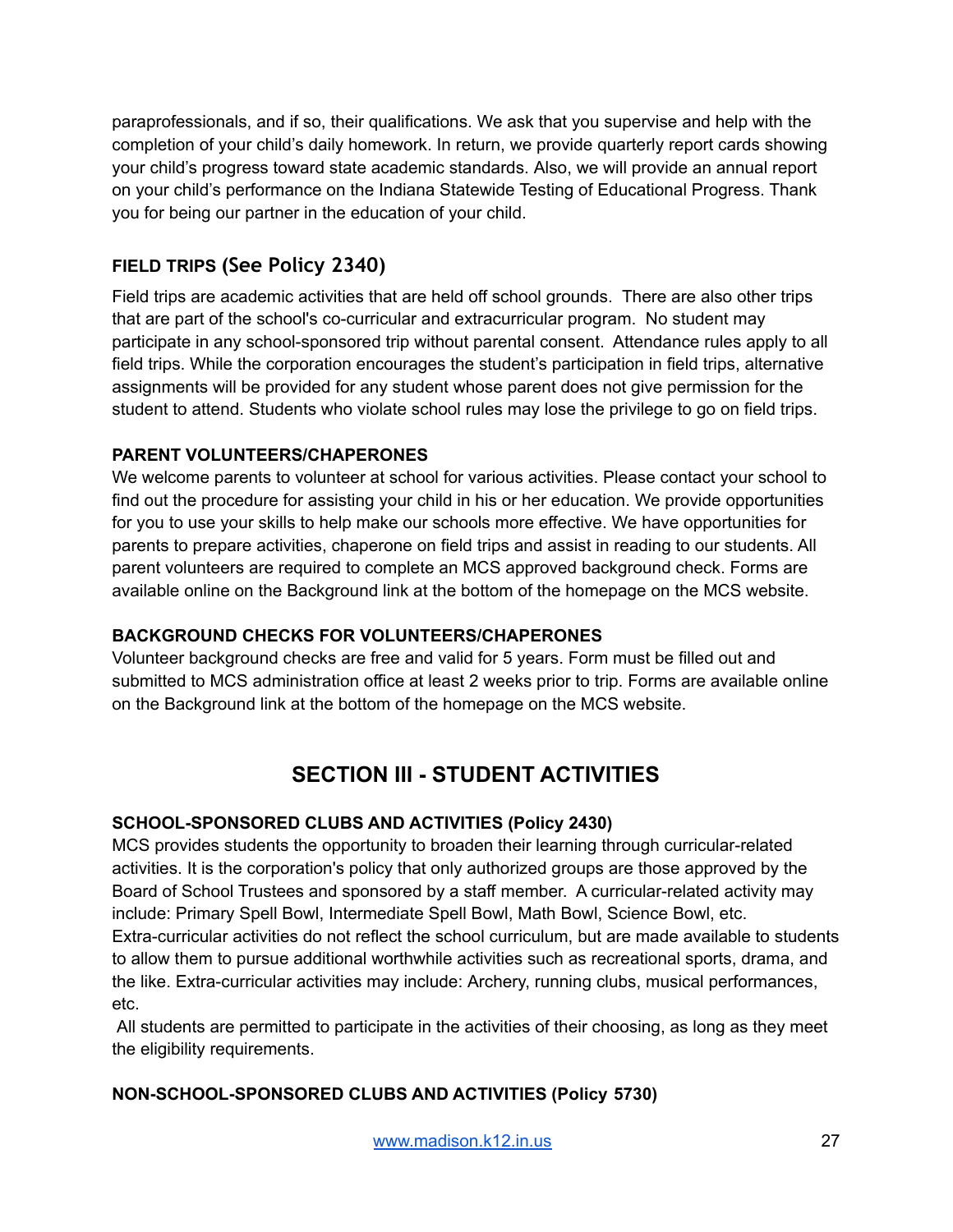paraprofessionals, and if so, their qualifications. We ask that you supervise and help with the completion of your child's daily homework. In return, we provide quarterly report cards showing your child's progress toward state academic standards. Also, we will provide an annual report on your child's performance on the Indiana Statewide Testing of Educational Progress. Thank you for being our partner in the education of your child.

## **FIELD TRIPS (See Policy 2340)**

Field trips are academic activities that are held off school grounds. There are also other trips that are part of the school's co-curricular and extracurricular program. No student may participate in any school-sponsored trip without parental consent. Attendance rules apply to all field trips. While the corporation encourages the student's participation in field trips, alternative assignments will be provided for any student whose parent does not give permission for the student to attend. Students who violate school rules may lose the privilege to go on field trips.

## **PARENT VOLUNTEERS/CHAPERONES**

We welcome parents to volunteer at school for various activities. Please contact your school to find out the procedure for assisting your child in his or her education. We provide opportunities for you to use your skills to help make our schools more effective. We have opportunities for parents to prepare activities, chaperone on field trips and assist in reading to our students. All parent volunteers are required to complete an MCS approved background check. Forms are available online on the Background link at the bottom of the homepage on the MCS website.

## **BACKGROUND CHECKS FOR VOLUNTEERS/CHAPERONES**

Volunteer background checks are free and valid for 5 years. Form must be filled out and submitted to MCS administration office at least 2 weeks prior to trip. Forms are available online on the Background link at the bottom of the homepage on the MCS website.

# **SECTION III - STUDENT ACTIVITIES**

## **SCHOOL-SPONSORED CLUBS AND ACTIVITIES (Policy 2430)**

MCS provides students the opportunity to broaden their learning through curricular-related activities. It is the corporation's policy that only authorized groups are those approved by the Board of School Trustees and sponsored by a staff member. A curricular-related activity may include: Primary Spell Bowl, Intermediate Spell Bowl, Math Bowl, Science Bowl, etc.

Extra-curricular activities do not reflect the school curriculum, but are made available to students to allow them to pursue additional worthwhile activities such as recreational sports, drama, and the like. Extra-curricular activities may include: Archery, running clubs, musical performances, etc.

All students are permitted to participate in the activities of their choosing, as long as they meet the eligibility requirements.

## **NON-SCHOOL-SPONSORED CLUBS AND ACTIVITIES (Policy 5730)**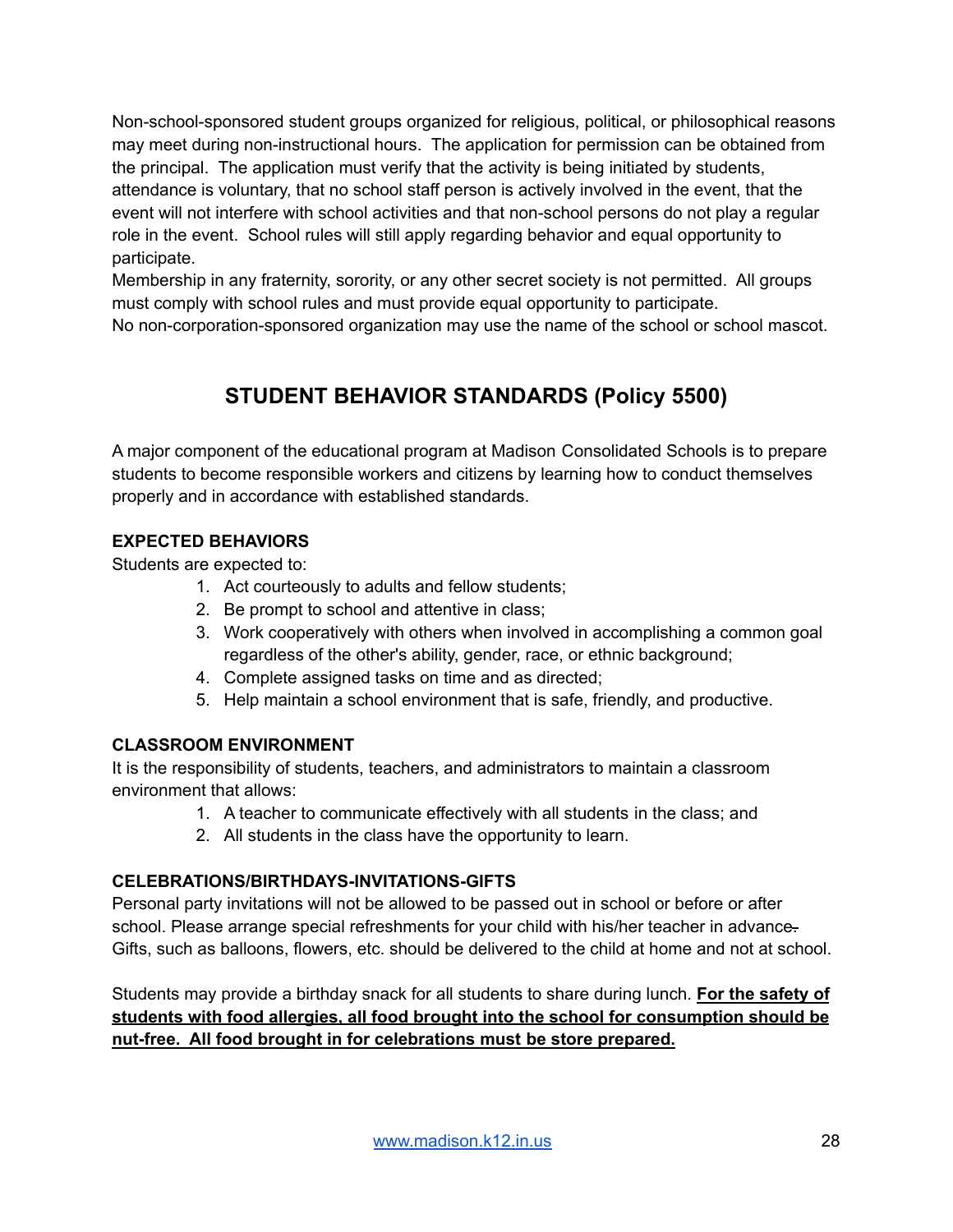Non-school-sponsored student groups organized for religious, political, or philosophical reasons may meet during non-instructional hours. The application for permission can be obtained from the principal. The application must verify that the activity is being initiated by students, attendance is voluntary, that no school staff person is actively involved in the event, that the event will not interfere with school activities and that non-school persons do not play a regular role in the event. School rules will still apply regarding behavior and equal opportunity to participate.

Membership in any fraternity, sorority, or any other secret society is not permitted. All groups must comply with school rules and must provide equal opportunity to participate. No non-corporation-sponsored organization may use the name of the school or school mascot.

# **STUDENT BEHAVIOR STANDARDS (Policy 5500)**

A major component of the educational program at Madison Consolidated Schools is to prepare students to become responsible workers and citizens by learning how to conduct themselves properly and in accordance with established standards.

## **EXPECTED BEHAVIORS**

Students are expected to:

- 1. Act courteously to adults and fellow students;
- 2. Be prompt to school and attentive in class;
- 3. Work cooperatively with others when involved in accomplishing a common goal regardless of the other's ability, gender, race, or ethnic background;
- 4. Complete assigned tasks on time and as directed;
- 5. Help maintain a school environment that is safe, friendly, and productive.

## **CLASSROOM ENVIRONMENT**

It is the responsibility of students, teachers, and administrators to maintain a classroom environment that allows:

- 1. A teacher to communicate effectively with all students in the class; and
- 2. All students in the class have the opportunity to learn.

## **CELEBRATIONS/BIRTHDAYS-INVITATIONS-GIFTS**

Personal party invitations will not be allowed to be passed out in school or before or after school. Please arrange special refreshments for your child with his/her teacher in advance. Gifts, such as balloons, flowers, etc. should be delivered to the child at home and not at school.

Students may provide a birthday snack for all students to share during lunch. **For the safety of students with food allergies, all food brought into the school for consumption should be nut-free. All food brought in for celebrations must be store prepared.**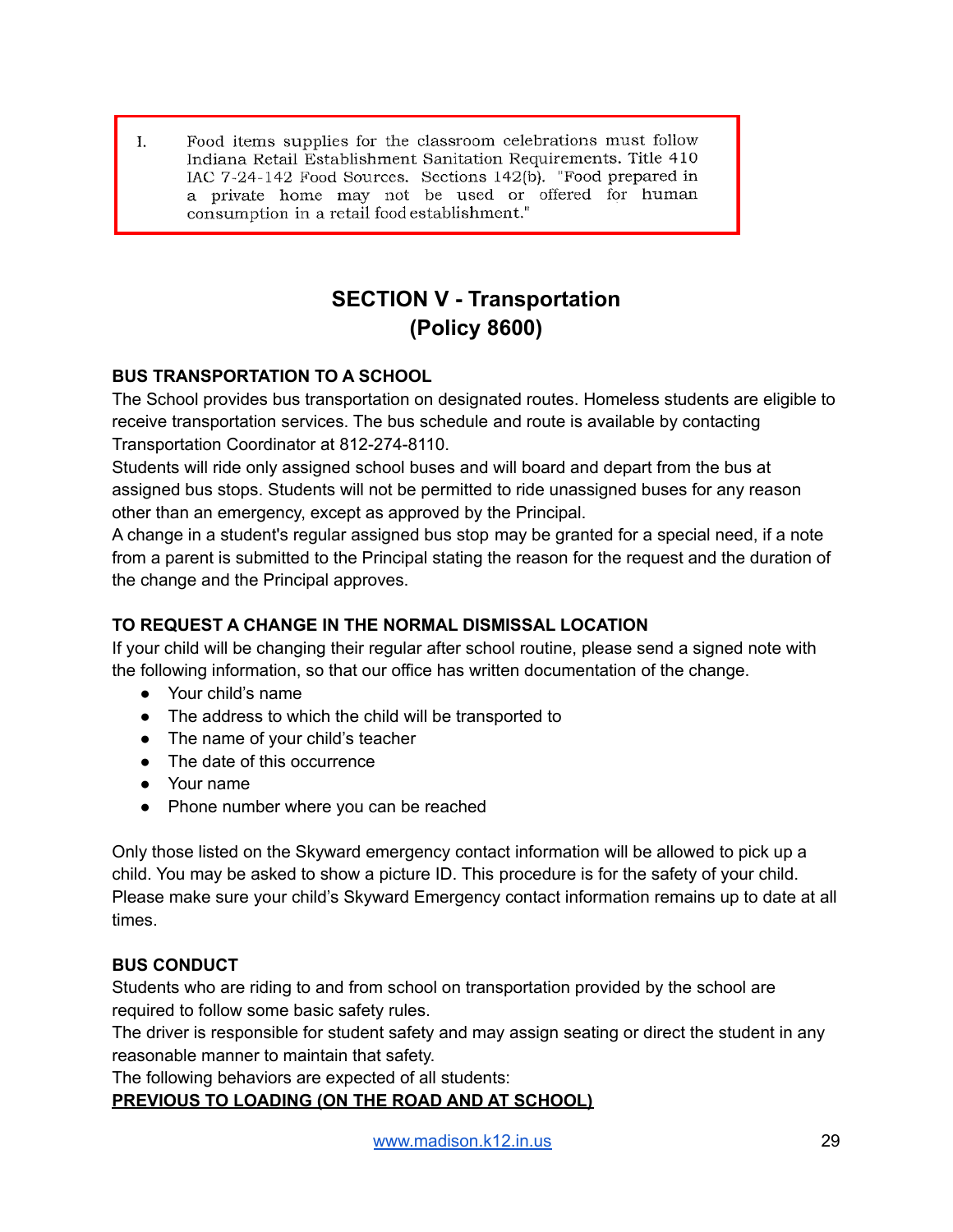Food items supplies for the classroom celebrations must follow L. Indiana Retail Establishment Sanitation Requirements. Title 410 IAC 7-24-142 Food Sources. Sections 142(b). "Food prepared in a private home may not be used or offered for human consumption in a retail food establishment."

# **SECTION V - Transportation (Policy 8600)**

## **BUS TRANSPORTATION TO A SCHOOL**

The School provides bus transportation on designated routes. Homeless students are eligible to receive transportation services. The bus schedule and route is available by contacting Transportation Coordinator at 812-274-8110.

Students will ride only assigned school buses and will board and depart from the bus at assigned bus stops. Students will not be permitted to ride unassigned buses for any reason other than an emergency, except as approved by the Principal.

A change in a student's regular assigned bus stop may be granted for a special need, if a note from a parent is submitted to the Principal stating the reason for the request and the duration of the change and the Principal approves.

## **TO REQUEST A CHANGE IN THE NORMAL DISMISSAL LOCATION**

If your child will be changing their regular after school routine, please send a signed note with the following information, so that our office has written documentation of the change.

- Your child's name
- The address to which the child will be transported to
- The name of your child's teacher
- The date of this occurrence
- Your name
- Phone number where you can be reached

Only those listed on the Skyward emergency contact information will be allowed to pick up a child. You may be asked to show a picture ID. This procedure is for the safety of your child. Please make sure your child's Skyward Emergency contact information remains up to date at all times.

## **BUS CONDUCT**

Students who are riding to and from school on transportation provided by the school are required to follow some basic safety rules.

The driver is responsible for student safety and may assign seating or direct the student in any reasonable manner to maintain that safety.

The following behaviors are expected of all students:

## **PREVIOUS TO LOADING (ON THE ROAD AND AT SCHOOL)**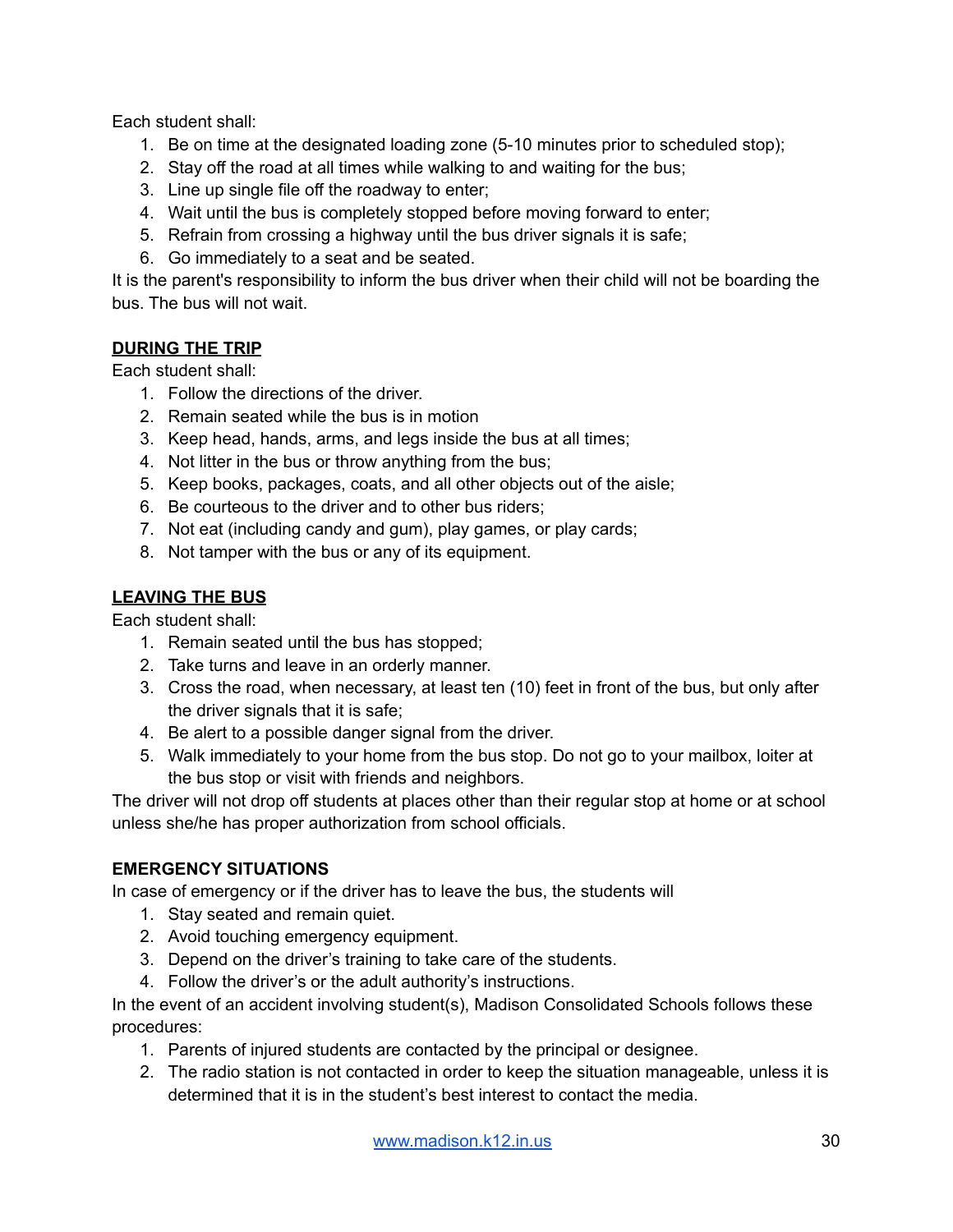Each student shall:

- 1. Be on time at the designated loading zone (5-10 minutes prior to scheduled stop);
- 2. Stay off the road at all times while walking to and waiting for the bus;
- 3. Line up single file off the roadway to enter;
- 4. Wait until the bus is completely stopped before moving forward to enter;
- 5. Refrain from crossing a highway until the bus driver signals it is safe;
- 6. Go immediately to a seat and be seated.

It is the parent's responsibility to inform the bus driver when their child will not be boarding the bus. The bus will not wait.

## **DURING THE TRIP**

Each student shall:

- 1. Follow the directions of the driver.
- 2. Remain seated while the bus is in motion
- 3. Keep head, hands, arms, and legs inside the bus at all times;
- 4. Not litter in the bus or throw anything from the bus;
- 5. Keep books, packages, coats, and all other objects out of the aisle;
- 6. Be courteous to the driver and to other bus riders;
- 7. Not eat (including candy and gum), play games, or play cards;
- 8. Not tamper with the bus or any of its equipment.

## **LEAVING THE BUS**

Each student shall:

- 1. Remain seated until the bus has stopped;
- 2. Take turns and leave in an orderly manner.
- 3. Cross the road, when necessary, at least ten (10) feet in front of the bus, but only after the driver signals that it is safe;
- 4. Be alert to a possible danger signal from the driver.
- 5. Walk immediately to your home from the bus stop. Do not go to your mailbox, loiter at the bus stop or visit with friends and neighbors.

The driver will not drop off students at places other than their regular stop at home or at school unless she/he has proper authorization from school officials.

## **EMERGENCY SITUATIONS**

In case of emergency or if the driver has to leave the bus, the students will

- 1. Stay seated and remain quiet.
- 2. Avoid touching emergency equipment.
- 3. Depend on the driver's training to take care of the students.
- 4. Follow the driver's or the adult authority's instructions.

In the event of an accident involving student(s), Madison Consolidated Schools follows these procedures:

- 1. Parents of injured students are contacted by the principal or designee.
- 2. The radio station is not contacted in order to keep the situation manageable, unless it is determined that it is in the student's best interest to contact the media.